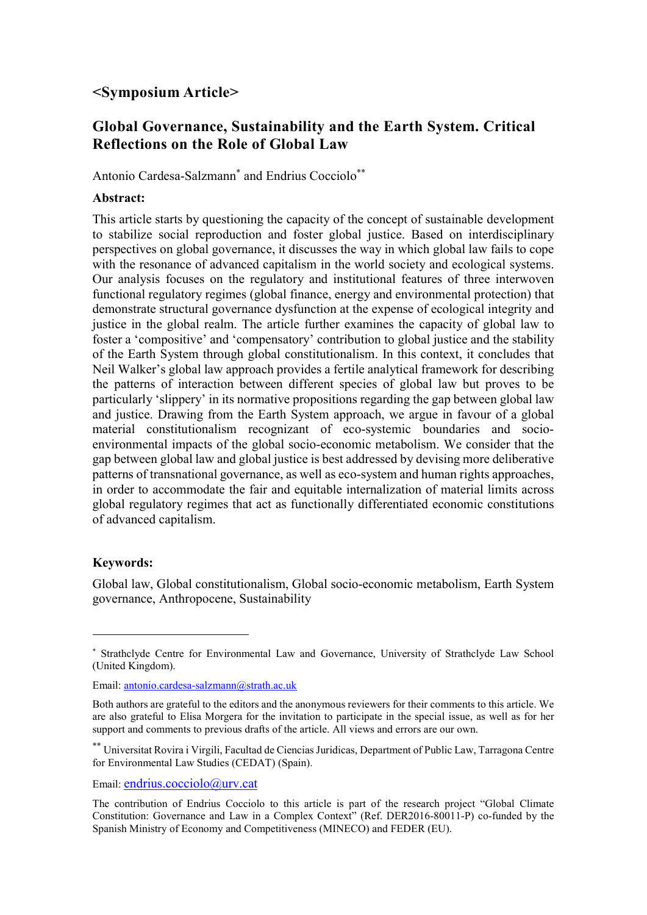## <Symposium Article>

# Global Governance, Sustainability and the Earth System. Critical Reflections on the Role of Global Law

Antonio Cardesa-Salzmann<sup>\*</sup> and Endrius Cocciolo<sup>\*\*</sup>

#### Abstract:

This article starts by questioning the capacity of the concept of sustainable development to stabilize social reproduction and foster global justice. Based on interdisciplinary perspectives on global governance, it discusses the way in which global law fails to cope with the resonance of advanced capitalism in the world society and ecological systems. Our analysis focuses on the regulatory and institutional features of three interwoven functional regulatory regimes (global finance, energy and environmental protection) that demonstrate structural governance dysfunction at the expense of ecological integrity and justice in the global realm. The article further examines the capacity of global law to foster a 'compositive' and 'compensatory' contribution to global justice and the stability of the Earth System through global constitutionalism. In this context, it concludes that Neil Walker's global law approach provides a fertile analytical framework for describing the patterns of interaction between different species of global law but proves to be particularly 'slippery' in its normative propositions regarding the gap between global law and justice. Drawing from the Earth System approach, we argue in favour of a global material constitutionalism recognizant of eco-systemic boundaries and socioenvironmental impacts of the global socio-economic metabolism. We consider that the gap between global law and global justice is best addressed by devising more deliberative patterns of transnational governance, as well as eco-system and human rights approaches, in order to accommodate the fair and equitable internalization of material limits across global regulatory regimes that act as functionally differentiated economic constitutions of advanced capitalism.

#### Keywords:

-

Global law, Global constitutionalism, Global socio-economic metabolism, Earth System governance, Anthropocene, Sustainability

<sup>\*</sup> Strathclyde Centre for Environmental Law and Governance, University of Strathclyde Law School (United Kingdom).

Email: antonio.cardesa-salzmann@strath.ac.uk

Both authors are grateful to the editors and the anonymous reviewers for their comments to this article. We are also grateful to Elisa Morgera for the invitation to participate in the special issue, as well as for her support and comments to previous drafts of the article. All views and errors are our own.

<sup>\*\*</sup> Universitat Rovira i Virgili, Facultad de Ciencias Juridicas, Department of Public Law, Tarragona Centre for Environmental Law Studies (CEDAT) (Spain).

Email: endrius.cocciolo@urv.cat

The contribution of Endrius Cocciolo to this article is part of the research project "Global Climate Constitution: Governance and Law in a Complex Context" (Ref. DER2016-80011-P) co-funded by the Spanish Ministry of Economy and Competitiveness (MINECO) and FEDER (EU).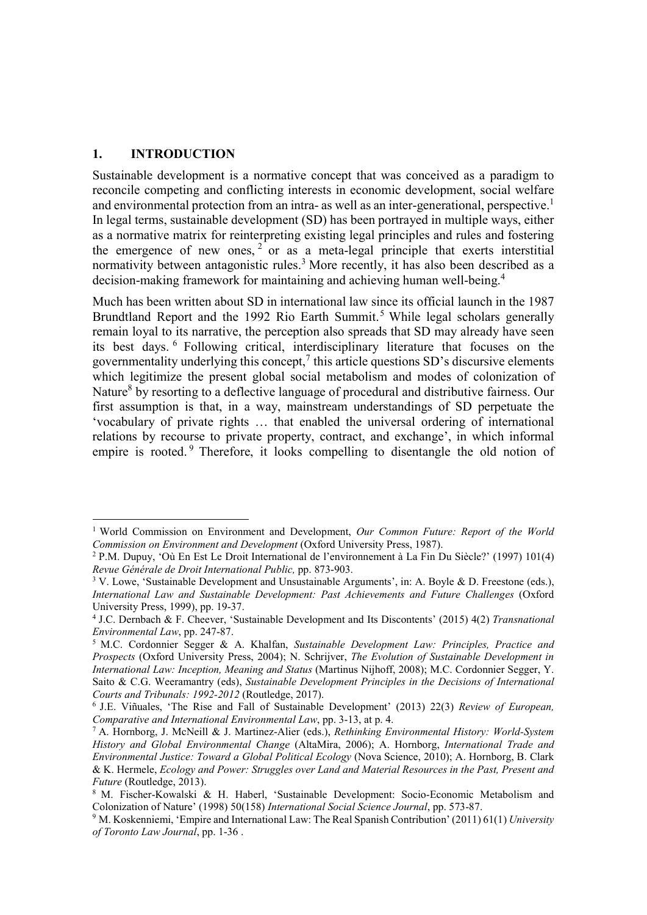#### 1. INTRODUCTION

-

Sustainable development is a normative concept that was conceived as a paradigm to reconcile competing and conflicting interests in economic development, social welfare and environmental protection from an intra- as well as an inter-generational, perspective.<sup>1</sup> In legal terms, sustainable development (SD) has been portrayed in multiple ways, either as a normative matrix for reinterpreting existing legal principles and rules and fostering the emergence of new ones,  $2$  or as a meta-legal principle that exerts interstitial normativity between antagonistic rules.<sup>3</sup> More recently, it has also been described as a decision-making framework for maintaining and achieving human well-being.<sup>4</sup>

Much has been written about SD in international law since its official launch in the 1987 Brundtland Report and the 1992 Rio Earth Summit.<sup>5</sup> While legal scholars generally remain loyal to its narrative, the perception also spreads that SD may already have seen its best days. <sup>6</sup> Following critical, interdisciplinary literature that focuses on the governmentality underlying this concept, $\frac{7}{1}$  this article questions SD's discursive elements which legitimize the present global social metabolism and modes of colonization of Nature<sup>8</sup> by resorting to a deflective language of procedural and distributive fairness. Our first assumption is that, in a way, mainstream understandings of SD perpetuate the 'vocabulary of private rights … that enabled the universal ordering of international relations by recourse to private property, contract, and exchange', in which informal empire is rooted.<sup>9</sup> Therefore, it looks compelling to disentangle the old notion of

<sup>&</sup>lt;sup>1</sup> World Commission on Environment and Development, Our Common Future: Report of the World Commission on Environment and Development (Oxford University Press, 1987).

<sup>2</sup> P.M. Dupuy, 'Où En Est Le Droit International de l'environnement à La Fin Du Siècle?' (1997) 101(4) Revue Générale de Droit International Public, pp. 873-903.

<sup>&</sup>lt;sup>3</sup> V. Lowe, 'Sustainable Development and Unsustainable Arguments', in: A. Boyle & D. Freestone (eds.), International Law and Sustainable Development: Past Achievements and Future Challenges (Oxford University Press, 1999), pp. 19-37.

<sup>4</sup> J.C. Dernbach & F. Cheever, 'Sustainable Development and Its Discontents' (2015) 4(2) Transnational Environmental Law, pp. 247-87.

<sup>&</sup>lt;sup>5</sup> M.C. Cordonnier Segger & A. Khalfan, Sustainable Development Law: Principles, Practice and Prospects (Oxford University Press, 2004); N. Schrijver, The Evolution of Sustainable Development in International Law: Inception, Meaning and Status (Martinus Nijhoff, 2008); M.C. Cordonnier Segger, Y. Saito & C.G. Weeramantry (eds), Sustainable Development Principles in the Decisions of International Courts and Tribunals: 1992-2012 (Routledge, 2017).

<sup>&</sup>lt;sup>6</sup> J.E. Viñuales, 'The Rise and Fall of Sustainable Development' (2013) 22(3) Review of European, Comparative and International Environmental Law, pp. 3-13, at p. 4.

<sup>&</sup>lt;sup>7</sup> A. Hornborg, J. McNeill & J. Martinez-Alier (eds.), Rethinking Environmental History: World-System History and Global Environmental Change (AltaMira, 2006); A. Hornborg, International Trade and Environmental Justice: Toward a Global Political Ecology (Nova Science, 2010); A. Hornborg, B. Clark & K. Hermele, Ecology and Power: Struggles over Land and Material Resources in the Past, Present and Future (Routledge, 2013).

<sup>8</sup> M. Fischer-Kowalski & H. Haberl, 'Sustainable Development: Socio-Economic Metabolism and Colonization of Nature' (1998) 50(158) International Social Science Journal, pp. 573-87.

<sup>&</sup>lt;sup>9</sup> M. Koskenniemi, 'Empire and International Law: The Real Spanish Contribution' (2011) 61(1) University of Toronto Law Journal, pp. 1-36 .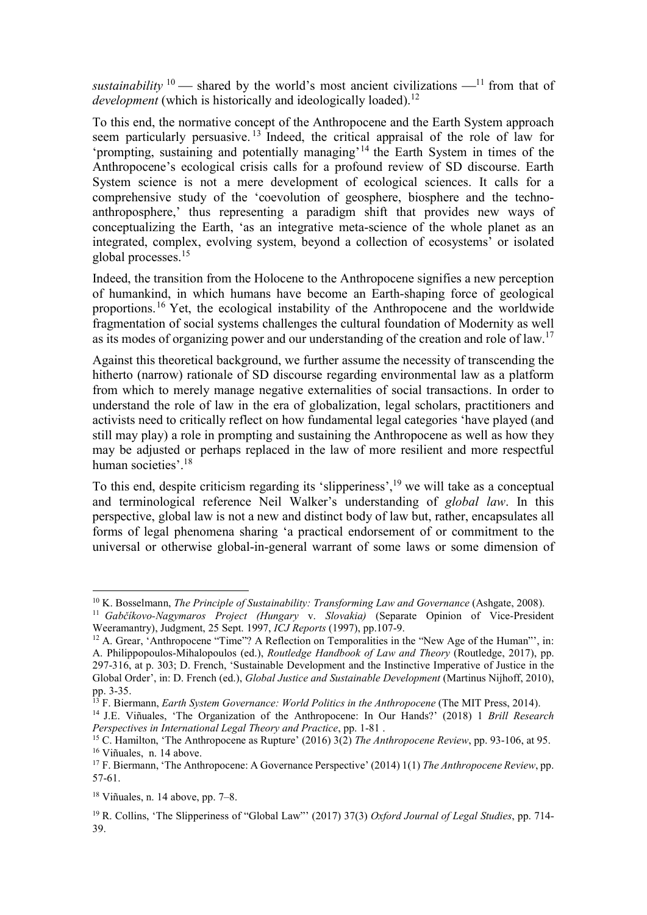sustainability  $10$  — shared by the world's most ancient civilizations —  $11$  from that of development (which is historically and ideologically loaded).<sup>12</sup>

To this end, the normative concept of the Anthropocene and the Earth System approach seem particularly persuasive. <sup>13</sup> Indeed, the critical appraisal of the role of law for 'prompting, sustaining and potentially managing'<sup>14</sup> the Earth System in times of the Anthropocene's ecological crisis calls for a profound review of SD discourse. Earth System science is not a mere development of ecological sciences. It calls for a comprehensive study of the 'coevolution of geosphere, biosphere and the technoanthroposphere,' thus representing a paradigm shift that provides new ways of conceptualizing the Earth, 'as an integrative meta-science of the whole planet as an integrated, complex, evolving system, beyond a collection of ecosystems' or isolated global processes.<sup>15</sup>

Indeed, the transition from the Holocene to the Anthropocene signifies a new perception of humankind, in which humans have become an Earth-shaping force of geological proportions.<sup>16</sup> Yet, the ecological instability of the Anthropocene and the worldwide fragmentation of social systems challenges the cultural foundation of Modernity as well as its modes of organizing power and our understanding of the creation and role of law.<sup>17</sup>

Against this theoretical background, we further assume the necessity of transcending the hitherto (narrow) rationale of SD discourse regarding environmental law as a platform from which to merely manage negative externalities of social transactions. In order to understand the role of law in the era of globalization, legal scholars, practitioners and activists need to critically reflect on how fundamental legal categories 'have played (and still may play) a role in prompting and sustaining the Anthropocene as well as how they may be adjusted or perhaps replaced in the law of more resilient and more respectful human societies'.<sup>18</sup>

To this end, despite criticism regarding its 'slipperiness',<sup>19</sup> we will take as a conceptual and terminological reference Neil Walker's understanding of global law. In this perspective, global law is not a new and distinct body of law but, rather, encapsulates all forms of legal phenomena sharing 'a practical endorsement of or commitment to the universal or otherwise global-in-general warrant of some laws or some dimension of

 $10$  K. Bosselmann, The Principle of Sustainability: Transforming Law and Governance (Ashgate, 2008).

<sup>&</sup>lt;sup>11</sup> Gabčíkovo-Nagymaros Project (Hungary v. Slovakia) (Separate Opinion of Vice-President Weeramantry), Judgment, 25 Sept. 1997, *ICJ Reports* (1997), pp.107-9.

<sup>&</sup>lt;sup>12</sup> A. Grear, 'Anthropocene "Time"? A Reflection on Temporalities in the "New Age of the Human"', in: A. Philippopoulos-Mihalopoulos (ed.), *Routledge Handbook of Law and Theory* (Routledge, 2017), pp. 297-316, at p. 303; D. French, 'Sustainable Development and the Instinctive Imperative of Justice in the Global Order', in: D. French (ed.), Global Justice and Sustainable Development (Martinus Nijhoff, 2010), pp. 3-35.

 $^{13}$  F. Biermann, *Earth System Governance: World Politics in the Anthropocene* (The MIT Press, 2014).

<sup>&</sup>lt;sup>14</sup> J.E. Viñuales, 'The Organization of the Anthropocene: In Our Hands?' (2018) 1 Brill Research Perspectives in International Legal Theory and Practice, pp. 1-81 .

<sup>&</sup>lt;sup>15</sup> C. Hamilton, 'The Anthropocene as Rupture' (2016)  $3(2)$  *The Anthropocene Review*, pp. 93-106, at 95. <sup>16</sup> Viñuales, n. 14 above.

<sup>&</sup>lt;sup>17</sup> F. Biermann, 'The Anthropocene: A Governance Perspective' (2014) 1(1) The Anthropocene Review, pp. 57-61.

 $18$  Viñuales, n. 14 above, pp. 7–8.

<sup>&</sup>lt;sup>19</sup> R. Collins, 'The Slipperiness of "Global Law"' (2017) 37(3) Oxford Journal of Legal Studies, pp. 714-39.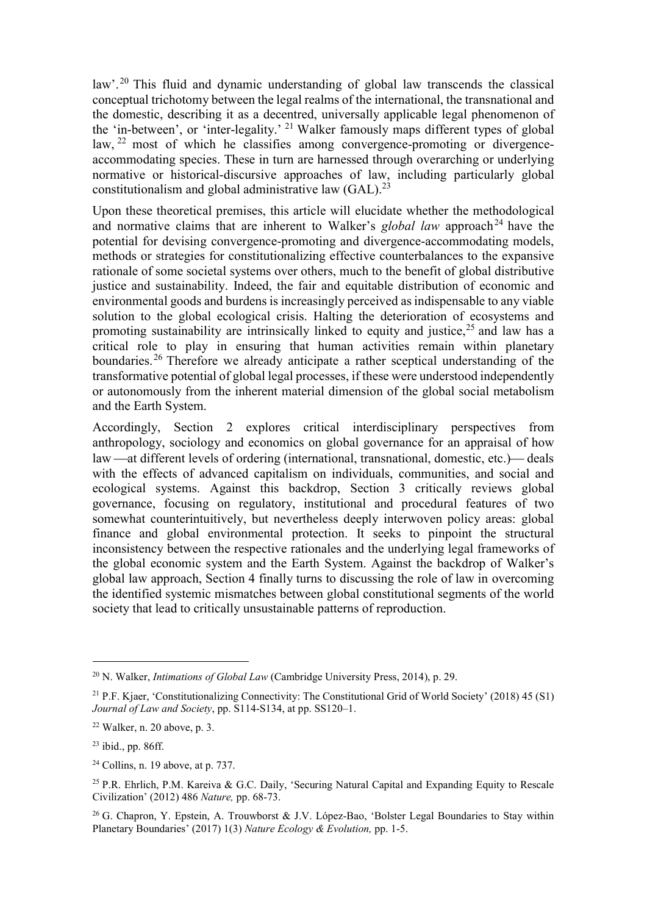law'.<sup>20</sup> This fluid and dynamic understanding of global law transcends the classical conceptual trichotomy between the legal realms of the international, the transnational and the domestic, describing it as a decentred, universally applicable legal phenomenon of the 'in-between', or 'inter-legality.' <sup>21</sup> Walker famously maps different types of global law, <sup>22</sup> most of which he classifies among convergence-promoting or divergenceaccommodating species. These in turn are harnessed through overarching or underlying normative or historical-discursive approaches of law, including particularly global constitutionalism and global administrative law  $(GAL).^{23}$ 

Upon these theoretical premises, this article will elucidate whether the methodological and normative claims that are inherent to Walker's global law approach<sup>24</sup> have the potential for devising convergence-promoting and divergence-accommodating models, methods or strategies for constitutionalizing effective counterbalances to the expansive rationale of some societal systems over others, much to the benefit of global distributive justice and sustainability. Indeed, the fair and equitable distribution of economic and environmental goods and burdens is increasingly perceived as indispensable to any viable solution to the global ecological crisis. Halting the deterioration of ecosystems and promoting sustainability are intrinsically linked to equity and justice,  $25$  and law has a critical role to play in ensuring that human activities remain within planetary boundaries.<sup>26</sup> Therefore we already anticipate a rather sceptical understanding of the transformative potential of global legal processes, if these were understood independently or autonomously from the inherent material dimension of the global social metabolism and the Earth System.

Accordingly, Section 2 explores critical interdisciplinary perspectives from anthropology, sociology and economics on global governance for an appraisal of how law —at different levels of ordering (international, transnational, domestic, etc.) — deals with the effects of advanced capitalism on individuals, communities, and social and ecological systems. Against this backdrop, Section 3 critically reviews global governance, focusing on regulatory, institutional and procedural features of two somewhat counterintuitively, but nevertheless deeply interwoven policy areas: global finance and global environmental protection. It seeks to pinpoint the structural inconsistency between the respective rationales and the underlying legal frameworks of the global economic system and the Earth System. Against the backdrop of Walker's global law approach, Section 4 finally turns to discussing the role of law in overcoming the identified systemic mismatches between global constitutional segments of the world society that lead to critically unsustainable patterns of reproduction.

<sup>&</sup>lt;sup>20</sup> N. Walker, *Intimations of Global Law* (Cambridge University Press, 2014), p. 29.

<sup>21</sup> P.F. Kjaer, 'Constitutionalizing Connectivity: The Constitutional Grid of World Society' (2018) 45 (S1) Journal of Law and Society, pp. S114-S134, at pp. SS120-1.

 $22$  Walker, n. 20 above, p. 3.

<sup>23</sup> ibid., pp. 86ff.

 $24$  Collins, n. 19 above, at p. 737.

<sup>&</sup>lt;sup>25</sup> P.R. Ehrlich, P.M. Kareiva & G.C. Daily, 'Securing Natural Capital and Expanding Equity to Rescale Civilization' (2012) 486 Nature, pp. 68-73.

<sup>&</sup>lt;sup>26</sup> G. Chapron, Y. Epstein, A. Trouwborst & J.V. López-Bao, 'Bolster Legal Boundaries to Stay within Planetary Boundaries' (2017) 1(3) Nature Ecology & Evolution, pp. 1-5.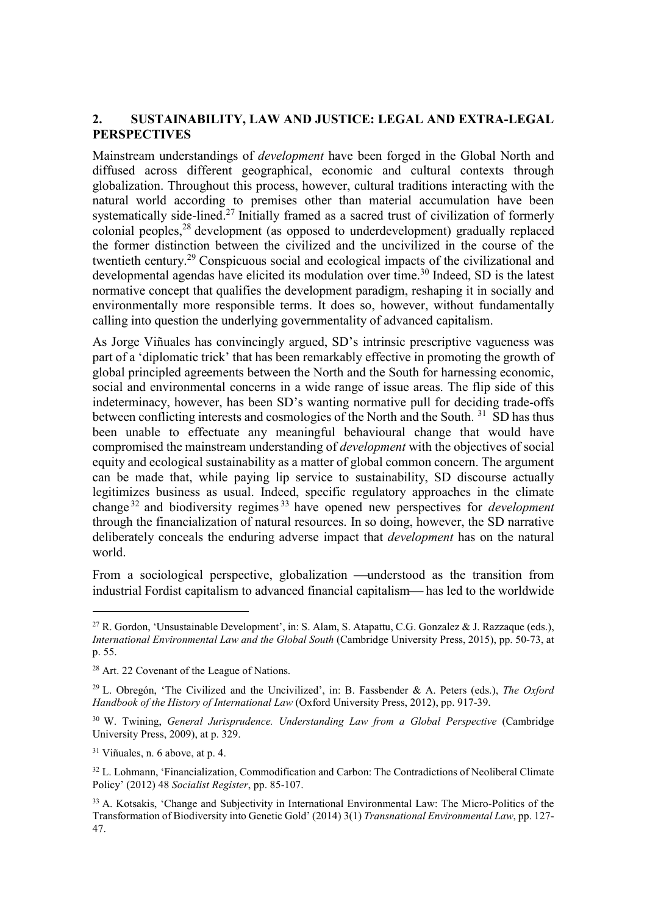## 2. SUSTAINABILITY, LAW AND JUSTICE: LEGAL AND EXTRA-LEGAL PERSPECTIVES

Mainstream understandings of development have been forged in the Global North and diffused across different geographical, economic and cultural contexts through globalization. Throughout this process, however, cultural traditions interacting with the natural world according to premises other than material accumulation have been systematically side-lined.<sup>27</sup> Initially framed as a sacred trust of civilization of formerly colonial peoples,<sup>28</sup> development (as opposed to underdevelopment) gradually replaced the former distinction between the civilized and the uncivilized in the course of the twentieth century.<sup>29</sup> Conspicuous social and ecological impacts of the civilizational and developmental agendas have elicited its modulation over time.<sup>30</sup> Indeed, SD is the latest normative concept that qualifies the development paradigm, reshaping it in socially and environmentally more responsible terms. It does so, however, without fundamentally calling into question the underlying governmentality of advanced capitalism.

As Jorge Viñuales has convincingly argued, SD's intrinsic prescriptive vagueness was part of a 'diplomatic trick' that has been remarkably effective in promoting the growth of global principled agreements between the North and the South for harnessing economic, social and environmental concerns in a wide range of issue areas. The flip side of this indeterminacy, however, has been SD's wanting normative pull for deciding trade-offs between conflicting interests and cosmologies of the North and the South.<sup>31</sup> SD has thus been unable to effectuate any meaningful behavioural change that would have compromised the mainstream understanding of development with the objectives of social equity and ecological sustainability as a matter of global common concern. The argument can be made that, while paying lip service to sustainability, SD discourse actually legitimizes business as usual. Indeed, specific regulatory approaches in the climate change  $32$  and biodiversity regimes  $33$  have opened new perspectives for *development* through the financialization of natural resources. In so doing, however, the SD narrative deliberately conceals the enduring adverse impact that *development* has on the natural world.

From a sociological perspective, globalization —understood as the transition from industrial Fordist capitalism to advanced financial capitalism—has led to the worldwide

<sup>27</sup> R. Gordon, 'Unsustainable Development', in: S. Alam, S. Atapattu, C.G. Gonzalez & J. Razzaque (eds.), International Environmental Law and the Global South (Cambridge University Press, 2015), pp. 50-73, at p. 55.

<sup>28</sup> Art. 22 Covenant of the League of Nations.

<sup>&</sup>lt;sup>29</sup> L. Obregón, 'The Civilized and the Uncivilized', in: B. Fassbender & A. Peters (eds.), The Oxford Handbook of the History of International Law (Oxford University Press, 2012), pp. 917-39.

<sup>&</sup>lt;sup>30</sup> W. Twining, *General Jurisprudence. Understanding Law from a Global Perspective (Cambridge* University Press, 2009), at p. 329.

<sup>31</sup> Viñuales, n. 6 above, at p. 4.

<sup>&</sup>lt;sup>32</sup> L. Lohmann, 'Financialization, Commodification and Carbon: The Contradictions of Neoliberal Climate Policy' (2012) 48 Socialist Register, pp. 85-107.

<sup>&</sup>lt;sup>33</sup> A. Kotsakis, 'Change and Subjectivity in International Environmental Law: The Micro-Politics of the Transformation of Biodiversity into Genetic Gold' (2014) 3(1) Transnational Environmental Law, pp. 127- 47.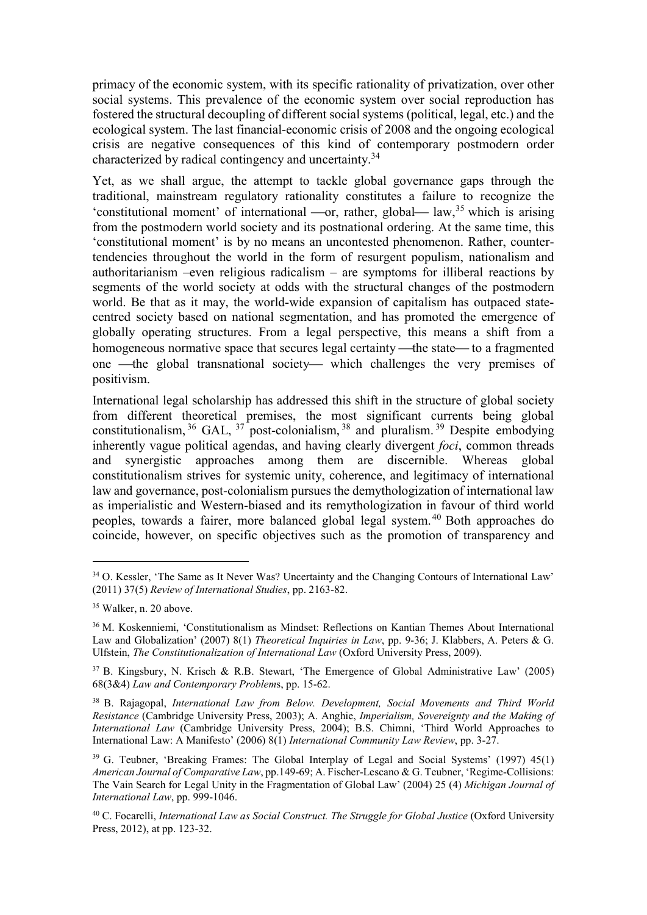primacy of the economic system, with its specific rationality of privatization, over other social systems. This prevalence of the economic system over social reproduction has fostered the structural decoupling of different social systems (political, legal, etc.) and the ecological system. The last financial-economic crisis of 2008 and the ongoing ecological crisis are negative consequences of this kind of contemporary postmodern order characterized by radical contingency and uncertainty.<sup>34</sup>

Yet, as we shall argue, the attempt to tackle global governance gaps through the traditional, mainstream regulatory rationality constitutes a failure to recognize the 'constitutional moment' of international —or, rather, global—  $law$ ,  $35$  which is arising from the postmodern world society and its postnational ordering. At the same time, this 'constitutional moment' is by no means an uncontested phenomenon. Rather, countertendencies throughout the world in the form of resurgent populism, nationalism and authoritarianism –even religious radicalism – are symptoms for illiberal reactions by segments of the world society at odds with the structural changes of the postmodern world. Be that as it may, the world-wide expansion of capitalism has outpaced statecentred society based on national segmentation, and has promoted the emergence of globally operating structures. From a legal perspective, this means a shift from a homogeneous normative space that secures legal certainty —the state — to a fragmented one —the global transnational society which challenges the very premises of positivism.

International legal scholarship has addressed this shift in the structure of global society from different theoretical premises, the most significant currents being global constitutionalism,  $36$  GAL,  $37$  post-colonialism,  $38$  and pluralism.  $39$  Despite embodying inherently vague political agendas, and having clearly divergent *foci*, common threads and synergistic approaches among them are discernible. Whereas global constitutionalism strives for systemic unity, coherence, and legitimacy of international law and governance, post-colonialism pursues the demythologization of international law as imperialistic and Western-biased and its remythologization in favour of third world peoples, towards a fairer, more balanced global legal system. <sup>40</sup> Both approaches do coincide, however, on specific objectives such as the promotion of transparency and

<sup>&</sup>lt;sup>34</sup> O. Kessler, 'The Same as It Never Was? Uncertainty and the Changing Contours of International Law' (2011) 37(5) Review of International Studies, pp. 2163-82.

<sup>35</sup> Walker, n. 20 above.

<sup>36</sup> M. Koskenniemi, 'Constitutionalism as Mindset: Reflections on Kantian Themes About International Law and Globalization' (2007) 8(1) Theoretical Inquiries in Law, pp. 9-36; J. Klabbers, A. Peters & G. Ulfstein, The Constitutionalization of International Law (Oxford University Press, 2009).

<sup>37</sup> B. Kingsbury, N. Krisch & R.B. Stewart, 'The Emergence of Global Administrative Law' (2005) 68(3&4) Law and Contemporary Problems, pp. 15-62.

<sup>&</sup>lt;sup>38</sup> B. Rajagopal, *International Law from Below. Development, Social Movements and Third World* Resistance (Cambridge University Press, 2003); A. Anghie, Imperialism, Sovereignty and the Making of International Law (Cambridge University Press, 2004); B.S. Chimni, 'Third World Approaches to International Law: A Manifesto' (2006) 8(1) International Community Law Review, pp. 3-27.

<sup>&</sup>lt;sup>39</sup> G. Teubner, 'Breaking Frames: The Global Interplay of Legal and Social Systems' (1997) 45(1) American Journal of Comparative Law, pp.149-69; A. Fischer-Lescano & G. Teubner, 'Regime-Collisions: The Vain Search for Legal Unity in the Fragmentation of Global Law' (2004) 25 (4) Michigan Journal of International Law, pp. 999-1046.

 $40$  C. Focarelli, International Law as Social Construct. The Struggle for Global Justice (Oxford University Press, 2012), at pp. 123-32.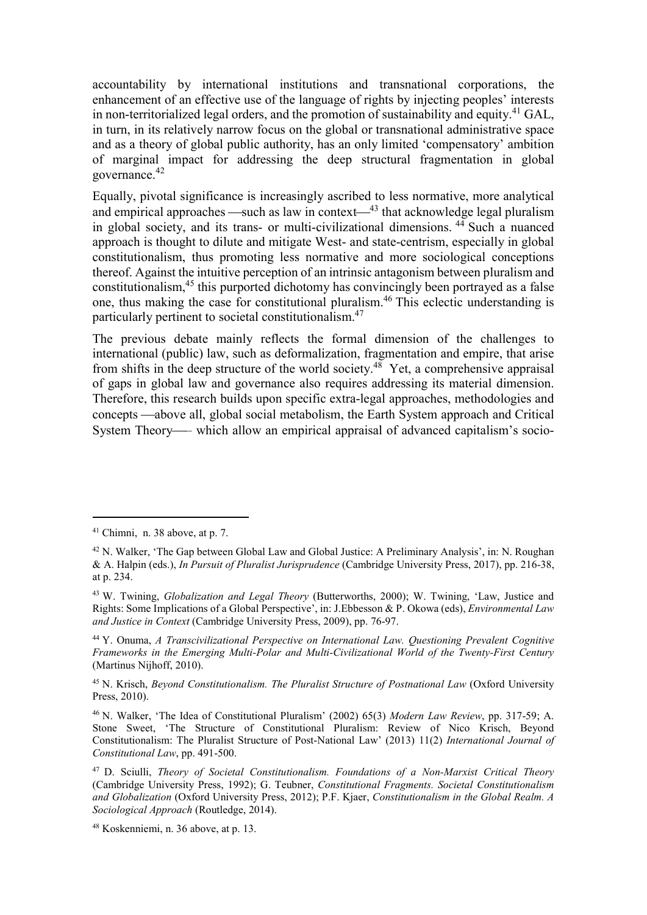accountability by international institutions and transnational corporations, the enhancement of an effective use of the language of rights by injecting peoples' interests in non-territorialized legal orders, and the promotion of sustainability and equity.<sup>41</sup> GAL, in turn, in its relatively narrow focus on the global or transnational administrative space and as a theory of global public authority, has an only limited 'compensatory' ambition of marginal impact for addressing the deep structural fragmentation in global governance.<sup>42</sup>

Equally, pivotal significance is increasingly ascribed to less normative, more analytical and empirical approaches —such as law in context— $43$  that acknowledge legal pluralism in global society, and its trans- or multi-civilizational dimensions.  $44$  Such a nuanced approach is thought to dilute and mitigate West- and state-centrism, especially in global constitutionalism, thus promoting less normative and more sociological conceptions thereof. Against the intuitive perception of an intrinsic antagonism between pluralism and constitutionalism,<sup>45</sup> this purported dichotomy has convincingly been portrayed as a false one, thus making the case for constitutional pluralism.<sup>46</sup> This eclectic understanding is particularly pertinent to societal constitutionalism.<sup>47</sup>

The previous debate mainly reflects the formal dimension of the challenges to international (public) law, such as deformalization, fragmentation and empire, that arise from shifts in the deep structure of the world society.<sup>48</sup> Yet, a comprehensive appraisal of gaps in global law and governance also requires addressing its material dimension. Therefore, this research builds upon specific extra-legal approaches, methodologies and concepts —above all, global social metabolism, the Earth System approach and Critical System Theory— which allow an empirical appraisal of advanced capitalism's socio-

<sup>41</sup> Chimni, n. 38 above, at p. 7.

<sup>42</sup> N. Walker, 'The Gap between Global Law and Global Justice: A Preliminary Analysis', in: N. Roughan & A. Halpin (eds.), In Pursuit of Pluralist Jurisprudence (Cambridge University Press, 2017), pp. 216-38, at p. 234.

<sup>&</sup>lt;sup>43</sup> W. Twining, *Globalization and Legal Theory* (Butterworths, 2000); W. Twining, 'Law, Justice and Rights: Some Implications of a Global Perspective', in: J.Ebbesson & P. Okowa (eds), Environmental Law and Justice in Context (Cambridge University Press, 2009), pp. 76-97.

<sup>44</sup> Y. Onuma, A Transcivilizational Perspective on International Law. Questioning Prevalent Cognitive Frameworks in the Emerging Multi-Polar and Multi-Civilizational World of the Twenty-First Century (Martinus Nijhoff, 2010).

<sup>45</sup> N. Krisch, Beyond Constitutionalism. The Pluralist Structure of Postnational Law (Oxford University Press, 2010).

<sup>46</sup> N. Walker, 'The Idea of Constitutional Pluralism' (2002) 65(3) Modern Law Review, pp. 317-59; A. Stone Sweet, 'The Structure of Constitutional Pluralism: Review of Nico Krisch, Beyond Constitutionalism: The Pluralist Structure of Post-National Law' (2013) 11(2) International Journal of Constitutional Law, pp. 491-500.

<sup>47</sup> D. Sciulli, Theory of Societal Constitutionalism. Foundations of a Non-Marxist Critical Theory (Cambridge University Press, 1992); G. Teubner, Constitutional Fragments. Societal Constitutionalism and Globalization (Oxford University Press, 2012); P.F. Kjaer, Constitutionalism in the Global Realm. A Sociological Approach (Routledge, 2014).

<sup>48</sup> Koskenniemi, n. 36 above, at p. 13.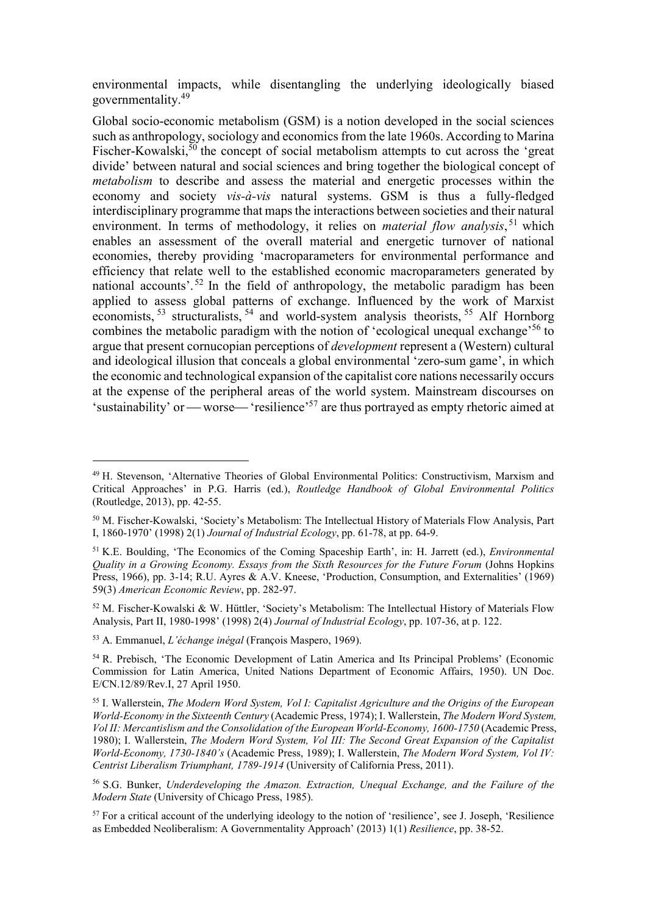environmental impacts, while disentangling the underlying ideologically biased governmentality.<sup>49</sup>

Global socio-economic metabolism (GSM) is a notion developed in the social sciences such as anthropology, sociology and economics from the late 1960s. According to Marina Fischer-Kowalski,<sup>50</sup> the concept of social metabolism attempts to cut across the 'great divide' between natural and social sciences and bring together the biological concept of metabolism to describe and assess the material and energetic processes within the economy and society vis-à-vis natural systems. GSM is thus a fully-fledged interdisciplinary programme that maps the interactions between societies and their natural environment. In terms of methodology, it relies on *material flow analysis*,<sup>51</sup> which enables an assessment of the overall material and energetic turnover of national economies, thereby providing 'macroparameters for environmental performance and efficiency that relate well to the established economic macroparameters generated by national accounts'.<sup>52</sup> In the field of anthropology, the metabolic paradigm has been applied to assess global patterns of exchange. Influenced by the work of Marxist economists,  $53$  structuralists,  $54$  and world-system analysis theorists,  $55$  Alf Hornborg combines the metabolic paradigm with the notion of 'ecological unequal exchange'<sup>56</sup> to argue that present cornucopian perceptions of *development* represent a (Western) cultural and ideological illusion that conceals a global environmental 'zero-sum game', in which the economic and technological expansion of the capitalist core nations necessarily occurs at the expense of the peripheral areas of the world system. Mainstream discourses on 'sustainability' or — worse— 'resilience'<sup>57</sup> are thus portrayed as empty rhetoric aimed at

<sup>49</sup> H. Stevenson, 'Alternative Theories of Global Environmental Politics: Constructivism, Marxism and Critical Approaches' in P.G. Harris (ed.), Routledge Handbook of Global Environmental Politics (Routledge, 2013), pp. 42-55.

<sup>50</sup> M. Fischer-Kowalski, 'Society's Metabolism: The Intellectual History of Materials Flow Analysis, Part I, 1860-1970' (1998) 2(1) Journal of Industrial Ecology, pp. 61-78, at pp. 64-9.

<sup>&</sup>lt;sup>51</sup> K.E. Boulding, 'The Economics of the Coming Spaceship Earth', in: H. Jarrett (ed.), *Environmental* Quality in a Growing Economy. Essays from the Sixth Resources for the Future Forum (Johns Hopkins Press, 1966), pp. 3-14; R.U. Ayres & A.V. Kneese, 'Production, Consumption, and Externalities' (1969) 59(3) American Economic Review, pp. 282-97.

<sup>52</sup> M. Fischer-Kowalski & W. Hüttler, 'Society's Metabolism: The Intellectual History of Materials Flow Analysis, Part II, 1980-1998' (1998) 2(4) Journal of Industrial Ecology, pp. 107-36, at p. 122.

<sup>53</sup> A. Emmanuel, L'échange inégal (François Maspero, 1969).

<sup>54</sup> R. Prebisch, 'The Economic Development of Latin America and Its Principal Problems' (Economic Commission for Latin America, United Nations Department of Economic Affairs, 1950). UN Doc. E/CN.12/89/Rev.I, 27 April 1950.

<sup>&</sup>lt;sup>55</sup> I. Wallerstein, *The Modern Word System, Vol I: Capitalist Agriculture and the Origins of the European* World-Economy in the Sixteenth Century (Academic Press, 1974); I. Wallerstein, The Modern Word System, Vol II: Mercantislism and the Consolidation of the European World-Economy, 1600-1750 (Academic Press, 1980); I. Wallerstein, The Modern Word System, Vol III: The Second Great Expansion of the Capitalist World-Economy, 1730-1840's (Academic Press, 1989); I. Wallerstein, The Modern Word System, Vol IV: Centrist Liberalism Triumphant, 1789-1914 (University of California Press, 2011).

<sup>56</sup> S.G. Bunker, Underdeveloping the Amazon. Extraction, Unequal Exchange, and the Failure of the Modern State (University of Chicago Press, 1985).

 $57$  For a critical account of the underlying ideology to the notion of 'resilience', see J. Joseph, 'Resilience' as Embedded Neoliberalism: A Governmentality Approach' (2013) 1(1) Resilience, pp. 38-52.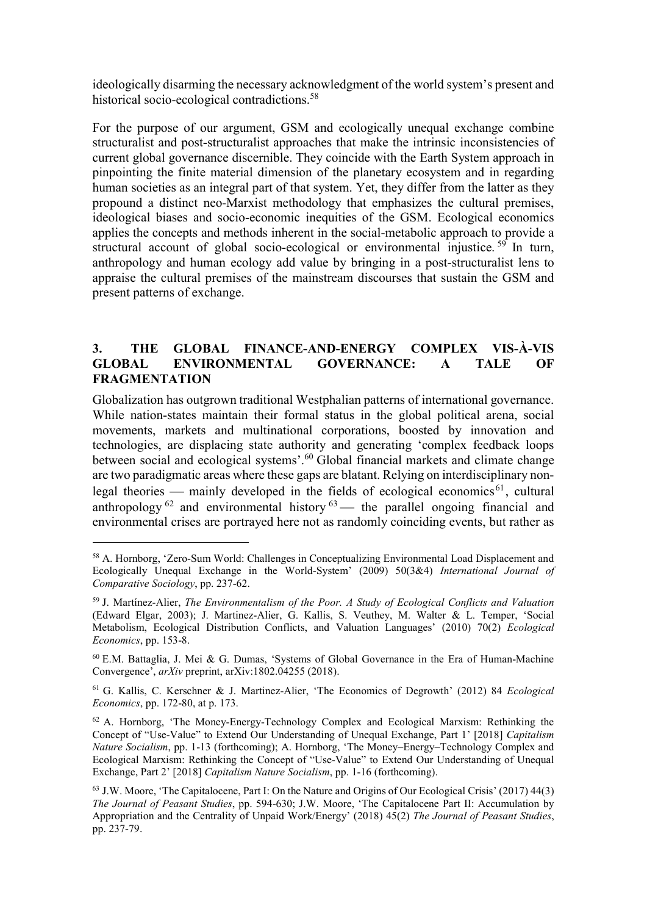ideologically disarming the necessary acknowledgment of the world system's present and historical socio-ecological contradictions.<sup>58</sup>

For the purpose of our argument, GSM and ecologically unequal exchange combine structuralist and post-structuralist approaches that make the intrinsic inconsistencies of current global governance discernible. They coincide with the Earth System approach in pinpointing the finite material dimension of the planetary ecosystem and in regarding human societies as an integral part of that system. Yet, they differ from the latter as they propound a distinct neo-Marxist methodology that emphasizes the cultural premises, ideological biases and socio-economic inequities of the GSM. Ecological economics applies the concepts and methods inherent in the social-metabolic approach to provide a structural account of global socio-ecological or environmental injustice.<sup>59</sup> In turn, anthropology and human ecology add value by bringing in a post-structuralist lens to appraise the cultural premises of the mainstream discourses that sustain the GSM and present patterns of exchange.

## 3. THE GLOBAL FINANCE-AND-ENERGY COMPLEX VIS-À-VIS GLOBAL ENVIRONMENTAL GOVERNANCE: A TALE OF FRAGMENTATION

Globalization has outgrown traditional Westphalian patterns of international governance. While nation-states maintain their formal status in the global political arena, social movements, markets and multinational corporations, boosted by innovation and technologies, are displacing state authority and generating 'complex feedback loops between social and ecological systems'.<sup>60</sup> Global financial markets and climate change are two paradigmatic areas where these gaps are blatant. Relying on interdisciplinary nonlegal theories — mainly developed in the fields of ecological economics<sup>61</sup>, cultural anthropology  $^{62}$  and environmental history  $^{63}$  the parallel ongoing financial and environmental crises are portrayed here not as randomly coinciding events, but rather as

<sup>58</sup> A. Hornborg, 'Zero-Sum World: Challenges in Conceptualizing Environmental Load Displacement and Ecologically Unequal Exchange in the World-System' (2009) 50(3&4) International Journal of Comparative Sociology, pp. 237-62.

 $59$  J. Martinez-Alier, The Environmentalism of the Poor. A Study of Ecological Conflicts and Valuation (Edward Elgar, 2003); J. Martinez-Alier, G. Kallis, S. Veuthey, M. Walter & L. Temper, 'Social Metabolism, Ecological Distribution Conflicts, and Valuation Languages' (2010) 70(2) Ecological Economics, pp. 153-8.

 $60$  E.M. Battaglia, J. Mei & G. Dumas, 'Systems of Global Governance in the Era of Human-Machine Convergence', arXiv preprint, arXiv:1802.04255 (2018).

<sup>61</sup> G. Kallis, C. Kerschner & J. Martinez-Alier, 'The Economics of Degrowth' (2012) 84 Ecological Economics, pp. 172-80, at p. 173.

<sup>62</sup> A. Hornborg, 'The Money-Energy-Technology Complex and Ecological Marxism: Rethinking the Concept of "Use-Value" to Extend Our Understanding of Unequal Exchange, Part 1' [2018] Capitalism Nature Socialism, pp. 1-13 (forthcoming); A. Hornborg, 'The Money–Energy–Technology Complex and Ecological Marxism: Rethinking the Concept of "Use-Value" to Extend Our Understanding of Unequal Exchange, Part 2' [2018] Capitalism Nature Socialism, pp. 1-16 (forthcoming).

<sup>63</sup> J.W. Moore, 'The Capitalocene, Part I: On the Nature and Origins of Our Ecological Crisis' (2017) 44(3) The Journal of Peasant Studies, pp. 594-630; J.W. Moore, 'The Capitalocene Part II: Accumulation by Appropriation and the Centrality of Unpaid Work/Energy' (2018) 45(2) The Journal of Peasant Studies, pp. 237-79.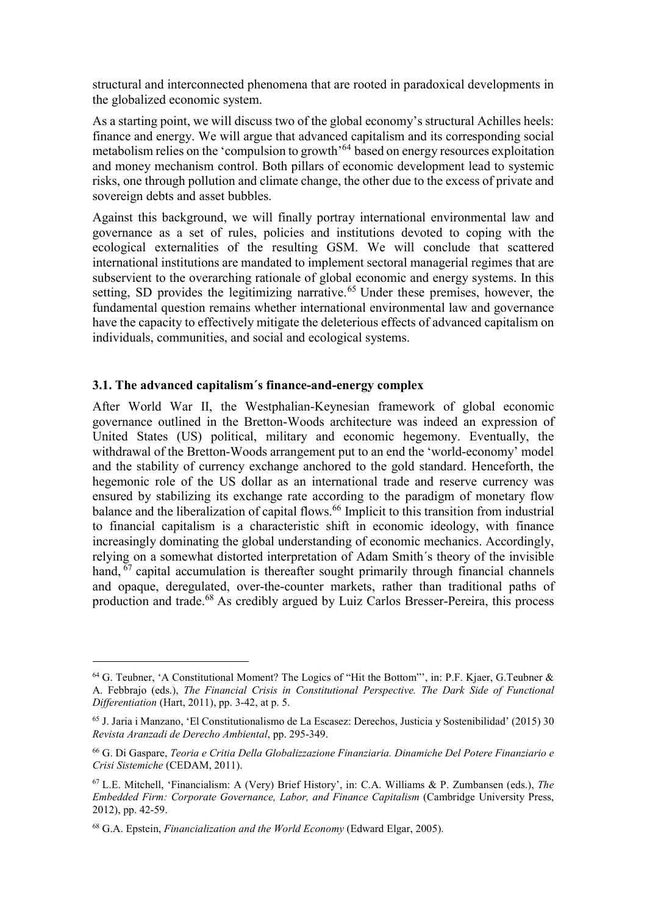structural and interconnected phenomena that are rooted in paradoxical developments in the globalized economic system.

As a starting point, we will discuss two of the global economy's structural Achilles heels: finance and energy. We will argue that advanced capitalism and its corresponding social metabolism relies on the 'compulsion to growth'<sup>64</sup> based on energy resources exploitation and money mechanism control. Both pillars of economic development lead to systemic risks, one through pollution and climate change, the other due to the excess of private and sovereign debts and asset bubbles.

Against this background, we will finally portray international environmental law and governance as a set of rules, policies and institutions devoted to coping with the ecological externalities of the resulting GSM. We will conclude that scattered international institutions are mandated to implement sectoral managerial regimes that are subservient to the overarching rationale of global economic and energy systems. In this setting, SD provides the legitimizing narrative.<sup> $65$ </sup> Under these premises, however, the fundamental question remains whether international environmental law and governance have the capacity to effectively mitigate the deleterious effects of advanced capitalism on individuals, communities, and social and ecological systems.

## 3.1. The advanced capitalism´s finance-and-energy complex

After World War II, the Westphalian-Keynesian framework of global economic governance outlined in the Bretton-Woods architecture was indeed an expression of United States (US) political, military and economic hegemony. Eventually, the withdrawal of the Bretton-Woods arrangement put to an end the 'world-economy' model and the stability of currency exchange anchored to the gold standard. Henceforth, the hegemonic role of the US dollar as an international trade and reserve currency was ensured by stabilizing its exchange rate according to the paradigm of monetary flow balance and the liberalization of capital flows.<sup>66</sup> Implicit to this transition from industrial to financial capitalism is a characteristic shift in economic ideology, with finance increasingly dominating the global understanding of economic mechanics. Accordingly, relying on a somewhat distorted interpretation of Adam Smith´s theory of the invisible hand,  $67$  capital accumulation is thereafter sought primarily through financial channels and opaque, deregulated, over-the-counter markets, rather than traditional paths of production and trade.<sup>68</sup> As credibly argued by Luiz Carlos Bresser-Pereira, this process

<sup>&</sup>lt;sup>64</sup> G. Teubner, 'A Constitutional Moment? The Logics of "Hit the Bottom"', in: P.F. Kjaer, G.Teubner & A. Febbrajo (eds.), The Financial Crisis in Constitutional Perspective. The Dark Side of Functional Differentiation (Hart, 2011), pp. 3-42, at p. 5.

<sup>65</sup> J. Jaria i Manzano, 'El Constitutionalismo de La Escasez: Derechos, Justicia y Sostenibilidad' (2015) 30 Revista Aranzadi de Derecho Ambiental, pp. 295-349.

<sup>66</sup> G. Di Gaspare, Teoria e Critia Della Globalizzazione Finanziaria. Dinamiche Del Potere Finanziario e Crisi Sistemiche (CEDAM, 2011).

 $67$  L.E. Mitchell, 'Financialism: A (Very) Brief History', in: C.A. Williams & P. Zumbansen (eds.), The Embedded Firm: Corporate Governance, Labor, and Finance Capitalism (Cambridge University Press, 2012), pp. 42-59.

 $68$  G.A. Epstein, *Financialization and the World Economy* (Edward Elgar, 2005).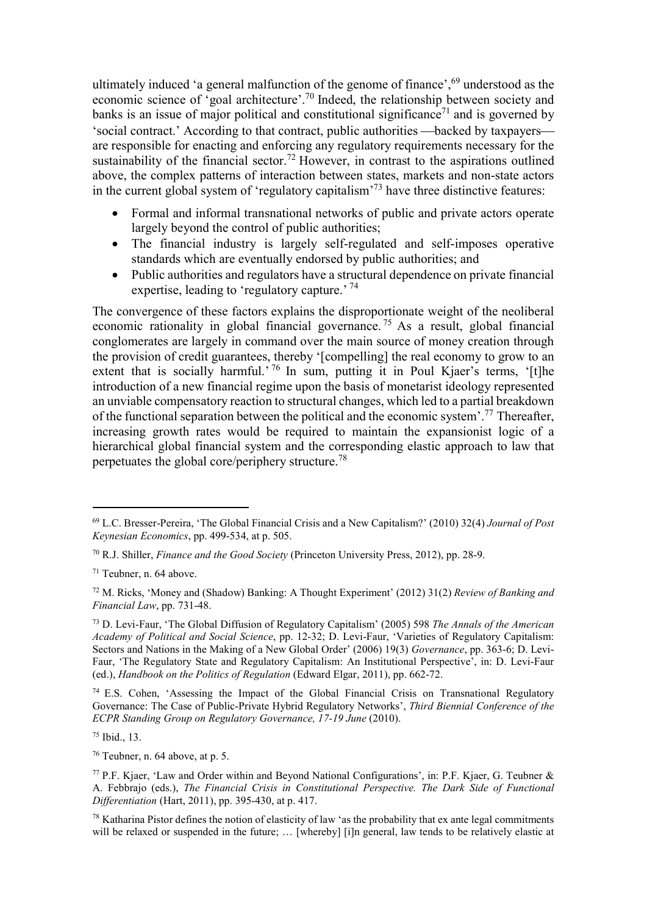ultimately induced 'a general malfunction of the genome of finance',<sup>69</sup> understood as the economic science of 'goal architecture'.<sup>70</sup> Indeed, the relationship between society and banks is an issue of major political and constitutional significance<sup> $71$ </sup> and is governed by 'social contract.' According to that contract, public authorities —backed by taxpayers are responsible for enacting and enforcing any regulatory requirements necessary for the sustainability of the financial sector.<sup>72</sup> However, in contrast to the aspirations outlined above, the complex patterns of interaction between states, markets and non-state actors in the current global system of 'regulatory capitalism'<sup>73</sup> have three distinctive features:

- Formal and informal transnational networks of public and private actors operate largely beyond the control of public authorities;
- The financial industry is largely self-regulated and self-imposes operative standards which are eventually endorsed by public authorities; and
- Public authorities and regulators have a structural dependence on private financial expertise, leading to 'regulatory capture.' <sup>74</sup>

The convergence of these factors explains the disproportionate weight of the neoliberal economic rationality in global financial governance.<sup>75</sup> As a result, global financial conglomerates are largely in command over the main source of money creation through the provision of credit guarantees, thereby '[compelling] the real economy to grow to an extent that is socially harmful.<sup>'76</sup> In sum, putting it in Poul Kjaer's terms, '[t]he introduction of a new financial regime upon the basis of monetarist ideology represented an unviable compensatory reaction to structural changes, which led to a partial breakdown of the functional separation between the political and the economic system'.<sup>77</sup> Thereafter, increasing growth rates would be required to maintain the expansionist logic of a hierarchical global financial system and the corresponding elastic approach to law that perpetuates the global core/periphery structure.<sup>78</sup>

-

 $74$  E.S. Cohen, 'Assessing the Impact of the Global Financial Crisis on Transnational Regulatory Governance: The Case of Public-Private Hybrid Regulatory Networks', Third Biennial Conference of the ECPR Standing Group on Regulatory Governance, 17-19 June (2010).

<sup>75</sup> Ibid., 13.

<sup>76</sup> Teubner, n. 64 above, at p. 5.

 $69$  L.C. Bresser-Pereira, 'The Global Financial Crisis and a New Capitalism?' (2010) 32(4) Journal of Post Keynesian Economics, pp. 499-534, at p. 505.

 $^{70}$  R.J. Shiller, *Finance and the Good Society* (Princeton University Press, 2012), pp. 28-9.

<sup>71</sup> Teubner, n. 64 above.

<sup>72</sup> M. Ricks, 'Money and (Shadow) Banking: A Thought Experiment' (2012) 31(2) Review of Banking and Financial Law, pp. 731-48.

<sup>73</sup> D. Levi-Faur, 'The Global Diffusion of Regulatory Capitalism' (2005) 598 The Annals of the American Academy of Political and Social Science, pp. 12-32; D. Levi-Faur, 'Varieties of Regulatory Capitalism: Sectors and Nations in the Making of a New Global Order' (2006) 19(3) Governance, pp. 363-6; D. Levi-Faur, 'The Regulatory State and Regulatory Capitalism: An Institutional Perspective', in: D. Levi-Faur (ed.), Handbook on the Politics of Regulation (Edward Elgar, 2011), pp. 662-72.

 $^{77}$  P.F. Kjaer, 'Law and Order within and Beyond National Configurations', in: P.F. Kjaer, G. Teubner  $\&$ A. Febbrajo (eds.), The Financial Crisis in Constitutional Perspective. The Dark Side of Functional Differentiation (Hart, 2011), pp. 395-430, at p. 417.

<sup>78</sup> Katharina Pistor defines the notion of elasticity of law 'as the probability that ex ante legal commitments will be relaxed or suspended in the future; ... [whereby] [i]n general, law tends to be relatively elastic at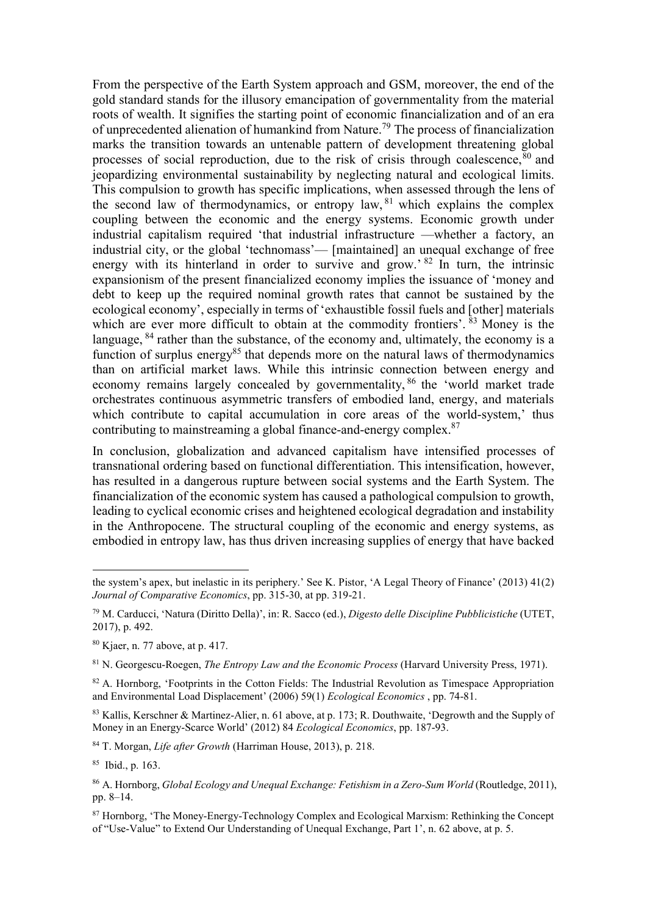From the perspective of the Earth System approach and GSM, moreover, the end of the gold standard stands for the illusory emancipation of governmentality from the material roots of wealth. It signifies the starting point of economic financialization and of an era of unprecedented alienation of humankind from Nature.<sup>79</sup> The process of financialization marks the transition towards an untenable pattern of development threatening global processes of social reproduction, due to the risk of crisis through coalescence,  $80$  and jeopardizing environmental sustainability by neglecting natural and ecological limits. This compulsion to growth has specific implications, when assessed through the lens of the second law of thermodynamics, or entropy law, <sup>81</sup> which explains the complex coupling between the economic and the energy systems. Economic growth under industrial capitalism required 'that industrial infrastructure —whether a factory, an industrial city, or the global 'technomass'— [maintained] an unequal exchange of free energy with its hinterland in order to survive and grow.<sup>82</sup> In turn, the intrinsic expansionism of the present financialized economy implies the issuance of 'money and debt to keep up the required nominal growth rates that cannot be sustained by the ecological economy', especially in terms of 'exhaustible fossil fuels and [other] materials which are ever more difficult to obtain at the commodity frontiers'.  $83$  Money is the language,  $84$  rather than the substance, of the economy and, ultimately, the economy is a function of surplus energy<sup>85</sup> that depends more on the natural laws of thermodynamics than on artificial market laws. While this intrinsic connection between energy and economy remains largely concealed by governmentality, 86 the 'world market trade orchestrates continuous asymmetric transfers of embodied land, energy, and materials which contribute to capital accumulation in core areas of the world-system,' thus contributing to mainstreaming a global finance-and-energy complex.<sup>87</sup>

In conclusion, globalization and advanced capitalism have intensified processes of transnational ordering based on functional differentiation. This intensification, however, has resulted in a dangerous rupture between social systems and the Earth System. The financialization of the economic system has caused a pathological compulsion to growth, leading to cyclical economic crises and heightened ecological degradation and instability in the Anthropocene. The structural coupling of the economic and energy systems, as embodied in entropy law, has thus driven increasing supplies of energy that have backed

<sup>84</sup> T. Morgan, Life after Growth (Harriman House, 2013), p. 218.

<sup>85</sup> Ibid., p. 163.

the system's apex, but inelastic in its periphery.' See K. Pistor, 'A Legal Theory of Finance' (2013) 41(2) Journal of Comparative Economics, pp. 315-30, at pp. 319-21.

<sup>79</sup> M. Carducci, 'Natura (Diritto Della)', in: R. Sacco (ed.), Digesto delle Discipline Pubblicistiche (UTET, 2017), p. 492.

<sup>80</sup> Kjaer, n. 77 above, at p. 417.

 $81$  N. Georgescu-Roegen, *The Entropy Law and the Economic Process* (Harvard University Press, 1971).

 $82$  A. Hornborg, 'Footprints in the Cotton Fields: The Industrial Revolution as Timespace Appropriation and Environmental Load Displacement' (2006) 59(1) Ecological Economics , pp. 74-81.

<sup>83</sup> Kallis, Kerschner & Martinez-Alier, n. 61 above, at p. 173; R. Douthwaite, 'Degrowth and the Supply of Money in an Energy-Scarce World' (2012) 84 Ecological Economics, pp. 187-93.

<sup>86</sup> A. Hornborg, *Global Ecology and Unequal Exchange: Fetishism in a Zero-Sum World* (Routledge, 2011), pp. 8–14.

<sup>87</sup> Hornborg, 'The Money-Energy-Technology Complex and Ecological Marxism: Rethinking the Concept of "Use-Value" to Extend Our Understanding of Unequal Exchange, Part 1', n. 62 above, at p. 5.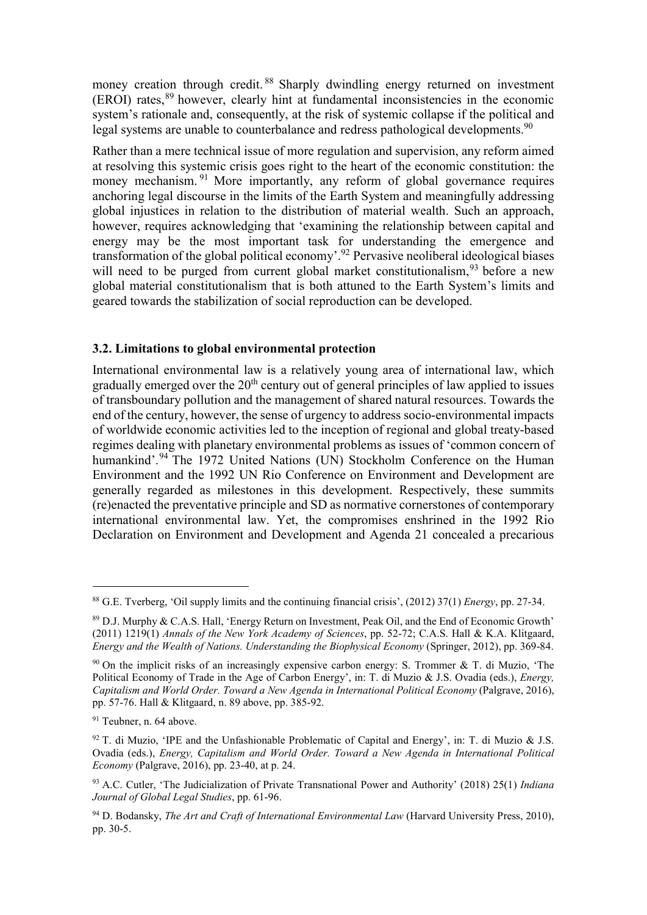money creation through credit. <sup>88</sup> Sharply dwindling energy returned on investment (EROI) rates,<sup>89</sup> however, clearly hint at fundamental inconsistencies in the economic system's rationale and, consequently, at the risk of systemic collapse if the political and legal systems are unable to counterbalance and redress pathological developments.<sup>90</sup>

Rather than a mere technical issue of more regulation and supervision, any reform aimed at resolving this systemic crisis goes right to the heart of the economic constitution: the money mechanism.<sup>91</sup> More importantly, any reform of global governance requires anchoring legal discourse in the limits of the Earth System and meaningfully addressing global injustices in relation to the distribution of material wealth. Such an approach, however, requires acknowledging that 'examining the relationship between capital and energy may be the most important task for understanding the emergence and transformation of the global political economy'.<sup>92</sup> Pervasive neoliberal ideological biases will need to be purged from current global market constitutionalism.  $93$  before a new global material constitutionalism that is both attuned to the Earth System's limits and geared towards the stabilization of social reproduction can be developed.

## 3.2. Limitations to global environmental protection

International environmental law is a relatively young area of international law, which gradually emerged over the  $20<sup>th</sup>$  century out of general principles of law applied to issues of transboundary pollution and the management of shared natural resources. Towards the end of the century, however, the sense of urgency to address socio-environmental impacts of worldwide economic activities led to the inception of regional and global treaty-based regimes dealing with planetary environmental problems as issues of 'common concern of humankind'.<sup>94</sup> The 1972 United Nations (UN) Stockholm Conference on the Human Environment and the 1992 UN Rio Conference on Environment and Development are generally regarded as milestones in this development. Respectively, these summits (re)enacted the preventative principle and SD as normative cornerstones of contemporary international environmental law. Yet, the compromises enshrined in the 1992 Rio Declaration on Environment and Development and Agenda 21 concealed a precarious

<sup>&</sup>lt;sup>88</sup> G.E. Tverberg, 'Oil supply limits and the continuing financial crisis',  $(2012)$  37(1) *Energy*, pp. 27-34.

<sup>89</sup> D.J. Murphy & C.A.S. Hall, 'Energy Return on Investment, Peak Oil, and the End of Economic Growth' (2011) 1219(1) Annals of the New York Academy of Sciences, pp. 52-72; C.A.S. Hall & K.A. Klitgaard, Energy and the Wealth of Nations. Understanding the Biophysical Economy (Springer, 2012), pp. 369-84.

 $90$  On the implicit risks of an increasingly expensive carbon energy: S. Trommer & T. di Muzio, 'The Political Economy of Trade in the Age of Carbon Energy', in: T. di Muzio & J.S. Ovadia (eds.), Energy, Capitalism and World Order. Toward a New Agenda in International Political Economy (Palgrave, 2016), pp. 57-76. Hall & Klitgaard, n. 89 above, pp. 385-92.

<sup>&</sup>lt;sup>91</sup> Teubner, n. 64 above.

 $92$  T. di Muzio, 'IPE and the Unfashionable Problematic of Capital and Energy', in: T. di Muzio & J.S. Ovadia (eds.), Energy, Capitalism and World Order. Toward a New Agenda in International Political Economy (Palgrave, 2016), pp. 23-40, at p. 24.

 $93$  A.C. Cutler, 'The Judicialization of Private Transnational Power and Authority' (2018) 25(1) Indiana Journal of Global Legal Studies, pp. 61-96.

 $94$  D. Bodansky, *The Art and Craft of International Environmental Law* (Harvard University Press, 2010), pp. 30-5.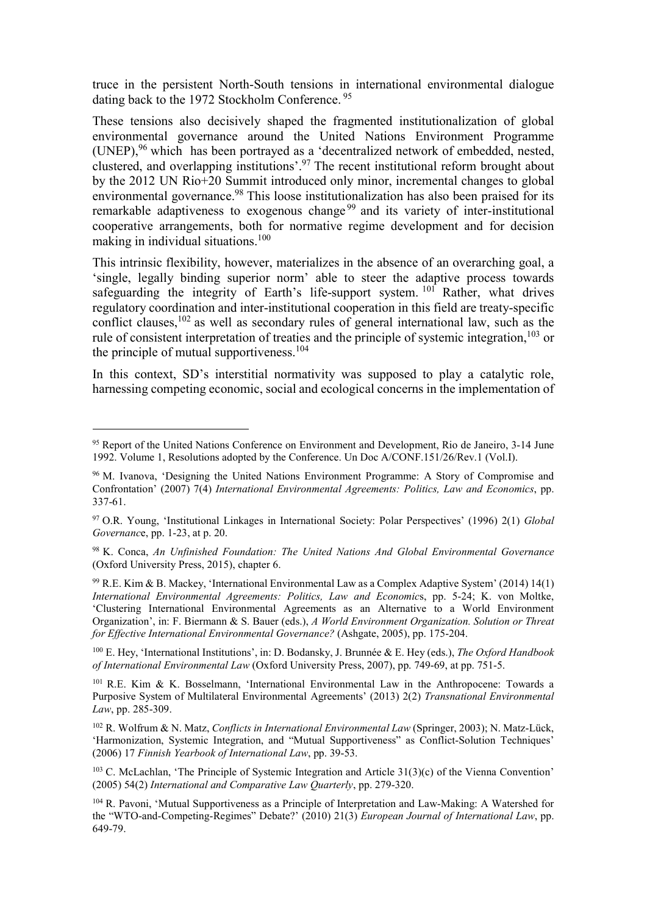truce in the persistent North-South tensions in international environmental dialogue dating back to the 1972 Stockholm Conference.<sup>95</sup>

These tensions also decisively shaped the fragmented institutionalization of global environmental governance around the United Nations Environment Programme (UNEP),  $96$  which has been portrayed as a 'decentralized network of embedded, nested, clustered, and overlapping institutions'.<sup>97</sup> The recent institutional reform brought about by the 2012 UN Rio+20 Summit introduced only minor, incremental changes to global environmental governance.<sup>98</sup> This loose institutionalization has also been praised for its remarkable adaptiveness to exogenous change<sup>99</sup> and its variety of inter-institutional cooperative arrangements, both for normative regime development and for decision making in individual situations.<sup>100</sup>

This intrinsic flexibility, however, materializes in the absence of an overarching goal, a 'single, legally binding superior norm' able to steer the adaptive process towards safeguarding the integrity of Earth's life-support system.  $101$  Rather, what drives regulatory coordination and inter-institutional cooperation in this field are treaty-specific conflict clauses,  $^{102}$  as well as secondary rules of general international law, such as the rule of consistent interpretation of treaties and the principle of systemic integration,  $^{103}$  or the principle of mutual supportiveness.<sup>104</sup>

In this context, SD's interstitial normativity was supposed to play a catalytic role, harnessing competing economic, social and ecological concerns in the implementation of

-

<sup>100</sup> E. Hey, 'International Institutions', in: D. Bodansky, J. Brunnée & E. Hey (eds.), *The Oxford Handbook* of International Environmental Law (Oxford University Press, 2007), pp. 749-69, at pp. 751-5.

<sup>101</sup> R.E. Kim & K. Bosselmann, 'International Environmental Law in the Anthropocene: Towards a Purposive System of Multilateral Environmental Agreements' (2013) 2(2) Transnational Environmental Law, pp. 285-309.

<sup>95</sup> Report of the United Nations Conference on Environment and Development, Rio de Janeiro, 3-14 June 1992. Volume 1, Resolutions adopted by the Conference. Un Doc A/CONF.151/26/Rev.1 (Vol.I).

<sup>96</sup> M. Ivanova, 'Designing the United Nations Environment Programme: A Story of Compromise and Confrontation' (2007) 7(4) International Environmental Agreements: Politics, Law and Economics, pp. 337-61.

<sup>97</sup> O.R. Young, 'Institutional Linkages in International Society: Polar Perspectives' (1996) 2(1) Global Governance, pp. 1-23, at p. 20.

<sup>98</sup> K. Conca, An Unfinished Foundation: The United Nations And Global Environmental Governance (Oxford University Press, 2015), chapter 6.

<sup>99</sup> R.E. Kim & B. Mackey, 'International Environmental Law as a Complex Adaptive System' (2014) 14(1) International Environmental Agreements: Politics, Law and Economics, pp. 5-24; K. von Moltke, 'Clustering International Environmental Agreements as an Alternative to a World Environment Organization', in: F. Biermann & S. Bauer (eds.), A World Environment Organization. Solution or Threat for Effective International Environmental Governance? (Ashgate, 2005), pp. 175-204.

<sup>&</sup>lt;sup>102</sup> R. Wolfrum & N. Matz, Conflicts in International Environmental Law (Springer, 2003); N. Matz-Lück, 'Harmonization, Systemic Integration, and "Mutual Supportiveness" as Conflict-Solution Techniques' (2006) 17 Finnish Yearbook of International Law, pp. 39-53.

 $103$  C. McLachlan, 'The Principle of Systemic Integration and Article  $31(3)(c)$  of the Vienna Convention' (2005) 54(2) International and Comparative Law Quarterly, pp. 279-320.

<sup>104</sup> R. Pavoni, 'Mutual Supportiveness as a Principle of Interpretation and Law-Making: A Watershed for the "WTO-and-Competing-Regimes" Debate?' (2010) 21(3) European Journal of International Law, pp. 649-79.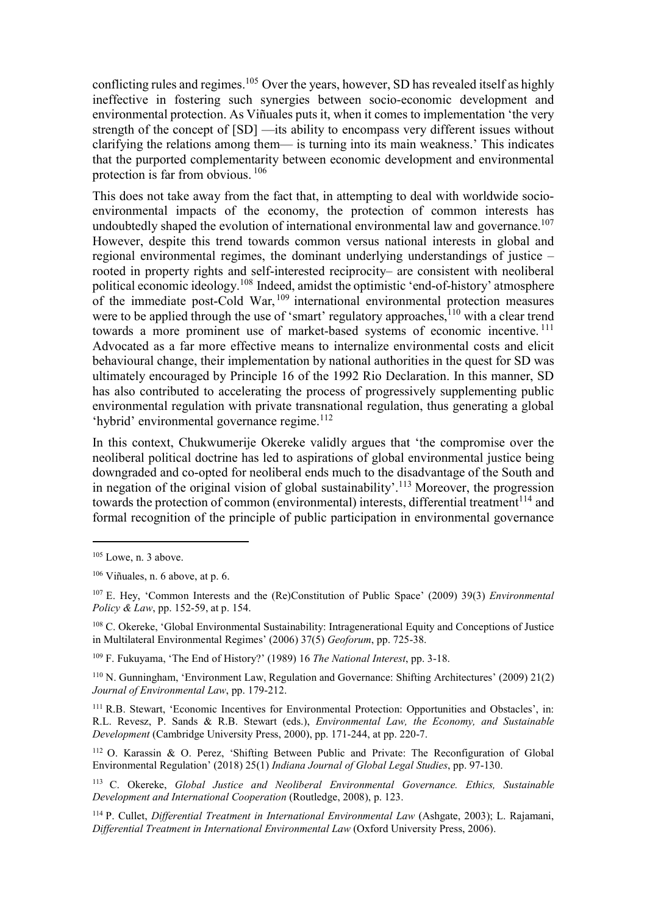conflicting rules and regimes.<sup>105</sup> Over the years, however, SD has revealed itself as highly ineffective in fostering such synergies between socio-economic development and environmental protection. As Viñuales puts it, when it comes to implementation 'the very strength of the concept of [SD] —its ability to encompass very different issues without clarifying the relations among them— is turning into its main weakness.' This indicates that the purported complementarity between economic development and environmental protection is far from obvious.<sup>106</sup>

This does not take away from the fact that, in attempting to deal with worldwide socioenvironmental impacts of the economy, the protection of common interests has undoubtedly shaped the evolution of international environmental law and governance.<sup>107</sup> However, despite this trend towards common versus national interests in global and regional environmental regimes, the dominant underlying understandings of justice – rooted in property rights and self-interested reciprocity– are consistent with neoliberal political economic ideology.<sup>108</sup> Indeed, amidst the optimistic 'end-of-history' atmosphere of the immediate post-Cold War, <sup>109</sup> international environmental protection measures were to be applied through the use of 'smart' regulatory approaches,  $110$  with a clear trend towards a more prominent use of market-based systems of economic incentive.<sup>111</sup> Advocated as a far more effective means to internalize environmental costs and elicit behavioural change, their implementation by national authorities in the quest for SD was ultimately encouraged by Principle 16 of the 1992 Rio Declaration. In this manner, SD has also contributed to accelerating the process of progressively supplementing public environmental regulation with private transnational regulation, thus generating a global 'hybrid' environmental governance regime.<sup>112</sup>

In this context, Chukwumerije Okereke validly argues that 'the compromise over the neoliberal political doctrine has led to aspirations of global environmental justice being downgraded and co-opted for neoliberal ends much to the disadvantage of the South and in negation of the original vision of global sustainability'.<sup>113</sup> Moreover, the progression towards the protection of common (environmental) interests, differential treatment<sup>114</sup> and formal recognition of the principle of public participation in environmental governance

 $105$  Lowe, n. 3 above.

 $106$  Viñuales, n. 6 above, at p. 6.

 $107$  E. Hey, 'Common Interests and the (Re)Constitution of Public Space' (2009) 39(3) Environmental Policy & Law, pp. 152-59, at p. 154.

<sup>108</sup> C. Okereke, 'Global Environmental Sustainability: Intragenerational Equity and Conceptions of Justice in Multilateral Environmental Regimes' (2006) 37(5) Geoforum, pp. 725-38.

<sup>&</sup>lt;sup>109</sup> F. Fukuyama, 'The End of History?' (1989) 16 The National Interest, pp. 3-18.

<sup>110</sup> N. Gunningham, 'Environment Law, Regulation and Governance: Shifting Architectures' (2009) 21(2) Journal of Environmental Law, pp. 179-212.

<sup>&</sup>lt;sup>111</sup> R.B. Stewart, 'Economic Incentives for Environmental Protection: Opportunities and Obstacles', in: R.L. Revesz, P. Sands & R.B. Stewart (eds.), Environmental Law, the Economy, and Sustainable Development (Cambridge University Press, 2000), pp. 171-244, at pp. 220-7.

<sup>112</sup> O. Karassin & O. Perez, 'Shifting Between Public and Private: The Reconfiguration of Global Environmental Regulation' (2018) 25(1) Indiana Journal of Global Legal Studies, pp. 97-130.

<sup>&</sup>lt;sup>113</sup> C. Okereke, Global Justice and Neoliberal Environmental Governance. Ethics, Sustainable Development and International Cooperation (Routledge, 2008), p. 123.

<sup>114</sup> P. Cullet, Differential Treatment in International Environmental Law (Ashgate, 2003); L. Rajamani, Differential Treatment in International Environmental Law (Oxford University Press, 2006).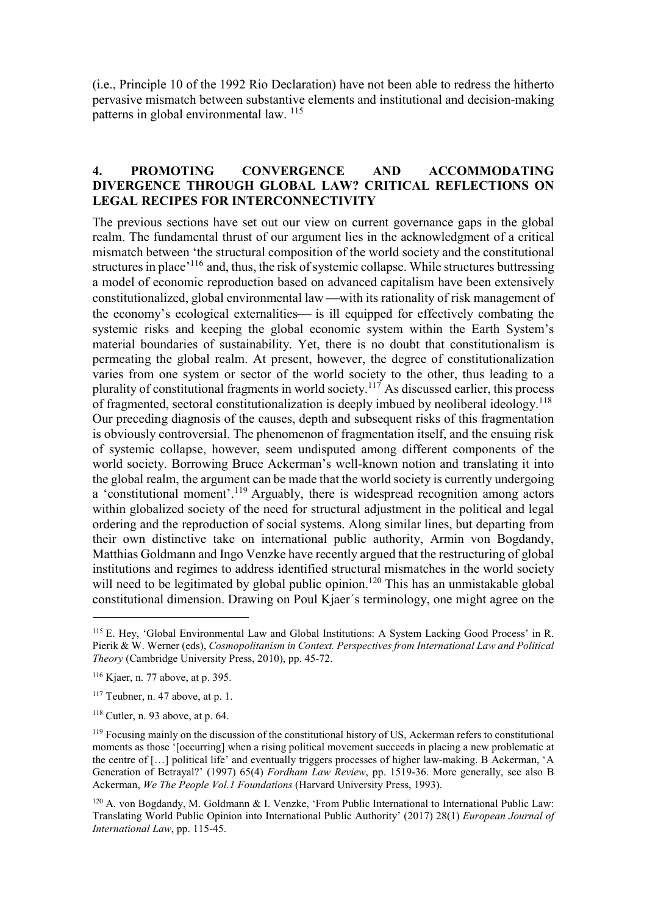(i.e., Principle 10 of the 1992 Rio Declaration) have not been able to redress the hitherto pervasive mismatch between substantive elements and institutional and decision-making patterns in global environmental law. <sup>115</sup>

### 4. PROMOTING CONVERGENCE AND ACCOMMODATING DIVERGENCE THROUGH GLOBAL LAW? CRITICAL REFLECTIONS ON LEGAL RECIPES FOR INTERCONNECTIVITY

The previous sections have set out our view on current governance gaps in the global realm. The fundamental thrust of our argument lies in the acknowledgment of a critical mismatch between 'the structural composition of the world society and the constitutional structures in place<sup>'116</sup> and, thus, the risk of systemic collapse. While structures buttressing a model of economic reproduction based on advanced capitalism have been extensively constitutionalized, global environmental law —with its rationality of risk management of the economy's ecological externalities— is ill equipped for effectively combating the systemic risks and keeping the global economic system within the Earth System's material boundaries of sustainability. Yet, there is no doubt that constitutionalism is permeating the global realm. At present, however, the degree of constitutionalization varies from one system or sector of the world society to the other, thus leading to a plurality of constitutional fragments in world society.<sup>117</sup> As discussed earlier, this process of fragmented, sectoral constitutionalization is deeply imbued by neoliberal ideology.<sup>118</sup> Our preceding diagnosis of the causes, depth and subsequent risks of this fragmentation is obviously controversial. The phenomenon of fragmentation itself, and the ensuing risk of systemic collapse, however, seem undisputed among different components of the world society. Borrowing Bruce Ackerman's well-known notion and translating it into the global realm, the argument can be made that the world society is currently undergoing a 'constitutional moment'.<sup>119</sup> Arguably, there is widespread recognition among actors within globalized society of the need for structural adjustment in the political and legal ordering and the reproduction of social systems. Along similar lines, but departing from their own distinctive take on international public authority, Armin von Bogdandy, Matthias Goldmann and Ingo Venzke have recently argued that the restructuring of global institutions and regimes to address identified structural mismatches in the world society will need to be legitimated by global public opinion.<sup>120</sup> This has an unmistakable global constitutional dimension. Drawing on Poul Kjaer´s terminology, one might agree on the

<sup>&</sup>lt;sup>115</sup> E. Hey, 'Global Environmental Law and Global Institutions: A System Lacking Good Process' in R. Pierik & W. Werner (eds), Cosmopolitanism in Context. Perspectives from International Law and Political Theory (Cambridge University Press, 2010), pp. 45-72.

<sup>116</sup> Kjaer, n. 77 above, at p. 395.

 $117$  Teubner, n. 47 above, at p. 1.

<sup>118</sup> Cutler, n. 93 above, at p. 64.

<sup>119</sup> Focusing mainly on the discussion of the constitutional history of US, Ackerman refers to constitutional moments as those '[occurring] when a rising political movement succeeds in placing a new problematic at the centre of […] political life' and eventually triggers processes of higher law-making. B Ackerman, 'A Generation of Betrayal?' (1997) 65(4) Fordham Law Review, pp. 1519-36. More generally, see also B Ackerman, We The People Vol.1 Foundations (Harvard University Press, 1993).

<sup>120</sup> A. von Bogdandy, M. Goldmann & I. Venzke, 'From Public International to International Public Law: Translating World Public Opinion into International Public Authority' (2017) 28(1) European Journal of International Law, pp. 115-45.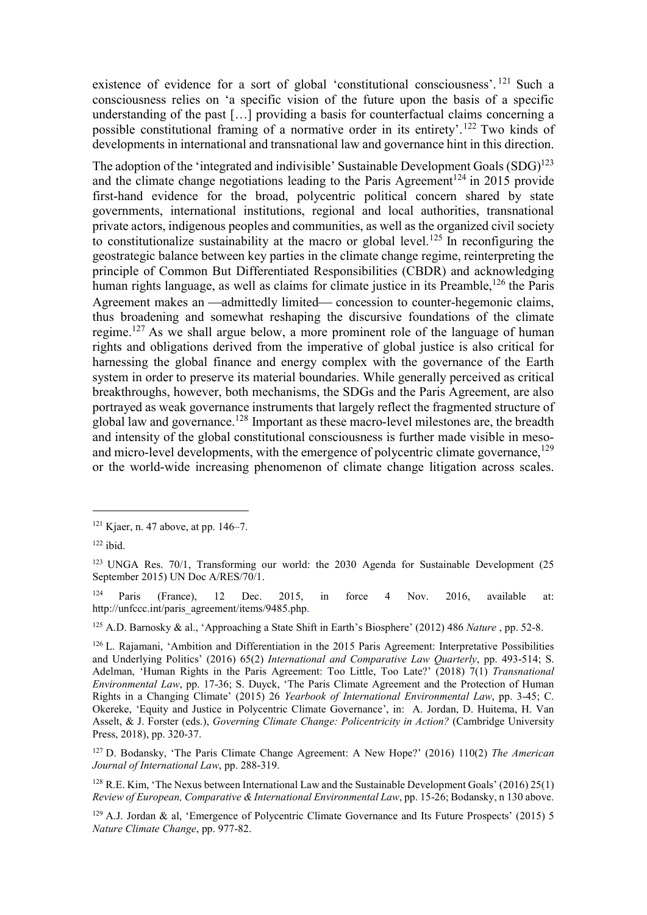existence of evidence for a sort of global 'constitutional consciousness'.<sup>121</sup> Such a consciousness relies on 'a specific vision of the future upon the basis of a specific understanding of the past […] providing a basis for counterfactual claims concerning a possible constitutional framing of a normative order in its entirety'.<sup>122</sup> Two kinds of developments in international and transnational law and governance hint in this direction.

The adoption of the 'integrated and indivisible' Sustainable Development Goals  $(SDG)^{123}$ and the climate change negotiations leading to the Paris Agreement<sup>124</sup> in 2015 provide first-hand evidence for the broad, polycentric political concern shared by state governments, international institutions, regional and local authorities, transnational private actors, indigenous peoples and communities, as well as the organized civil society to constitutionalize sustainability at the macro or global level.<sup>125</sup> In reconfiguring the geostrategic balance between key parties in the climate change regime, reinterpreting the principle of Common But Differentiated Responsibilities (CBDR) and acknowledging human rights language, as well as claims for climate justice in its Preamble,<sup>126</sup> the Paris Agreement makes an —admittedly limited— concession to counter-hegemonic claims, thus broadening and somewhat reshaping the discursive foundations of the climate regime.<sup>127</sup> As we shall argue below, a more prominent role of the language of human rights and obligations derived from the imperative of global justice is also critical for harnessing the global finance and energy complex with the governance of the Earth system in order to preserve its material boundaries. While generally perceived as critical breakthroughs, however, both mechanisms, the SDGs and the Paris Agreement, are also portrayed as weak governance instruments that largely reflect the fragmented structure of global law and governance.<sup>128</sup> Important as these macro-level milestones are, the breadth and intensity of the global constitutional consciousness is further made visible in mesoand micro-level developments, with the emergence of polycentric climate governance,<sup>129</sup> or the world-wide increasing phenomenon of climate change litigation across scales.

-

<sup>124</sup> Paris (France), 12 Dec. 2015, in force 4 Nov. 2016, available at: http://unfccc.int/paris\_agreement/items/9485.php.

<sup>125</sup> A.D. Barnosky & al., 'Approaching a State Shift in Earth's Biosphere' (2012) 486 Nature, pp. 52-8.

 $121$  Kjaer, n. 47 above, at pp. 146–7.

 $122$  ibid.

<sup>&</sup>lt;sup>123</sup> UNGA Res. 70/1, Transforming our world: the 2030 Agenda for Sustainable Development (25 September 2015) UN Doc A/RES/70/1.

<sup>126</sup> L. Rajamani, 'Ambition and Differentiation in the 2015 Paris Agreement: Interpretative Possibilities and Underlying Politics' (2016) 65(2) International and Comparative Law Quarterly, pp. 493-514; S. Adelman, 'Human Rights in the Paris Agreement: Too Little, Too Late?' (2018) 7(1) Transnational Environmental Law, pp. 17-36; S. Duyck, 'The Paris Climate Agreement and the Protection of Human Rights in a Changing Climate' (2015) 26 Yearbook of International Environmental Law, pp. 3-45; C. Okereke, 'Equity and Justice in Polycentric Climate Governance', in: A. Jordan, D. Huitema, H. Van Asselt, & J. Forster (eds.), Governing Climate Change: Policentricity in Action? (Cambridge University Press, 2018), pp. 320-37.

 $127$  D. Bodansky, 'The Paris Climate Change Agreement: A New Hope?' (2016) 110(2) The American Journal of International Law, pp. 288-319.

<sup>&</sup>lt;sup>128</sup> R.E. Kim, 'The Nexus between International Law and the Sustainable Development Goals' (2016) 25(1) Review of European, Comparative & International Environmental Law, pp. 15-26; Bodansky, n 130 above.

 $129$  A.J. Jordan & al, 'Emergence of Polycentric Climate Governance and Its Future Prospects' (2015) 5 Nature Climate Change, pp. 977-82.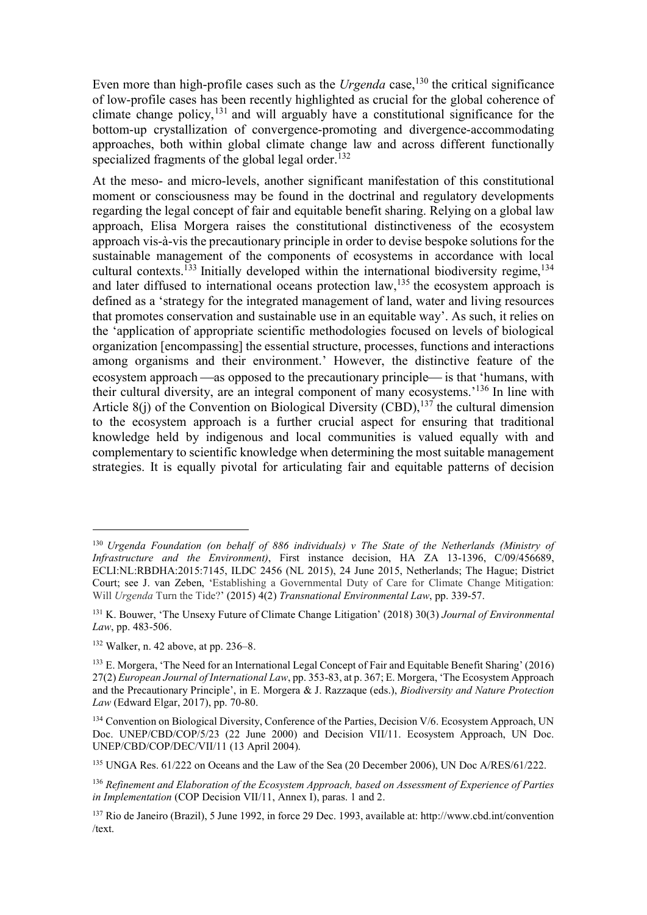Even more than high-profile cases such as the *Urgenda* case,<sup>130</sup> the critical significance of low-profile cases has been recently highlighted as crucial for the global coherence of climate change policy,  $^{131}$  and will arguably have a constitutional significance for the bottom-up crystallization of convergence-promoting and divergence-accommodating approaches, both within global climate change law and across different functionally specialized fragments of the global legal order.<sup>132</sup>

At the meso- and micro-levels, another significant manifestation of this constitutional moment or consciousness may be found in the doctrinal and regulatory developments regarding the legal concept of fair and equitable benefit sharing. Relying on a global law approach, Elisa Morgera raises the constitutional distinctiveness of the ecosystem approach vis-à-vis the precautionary principle in order to devise bespoke solutions for the sustainable management of the components of ecosystems in accordance with local cultural contexts.<sup>133</sup> Initially developed within the international biodiversity regime,<sup>134</sup> and later diffused to international oceans protection law,  $^{135}$  the ecosystem approach is defined as a 'strategy for the integrated management of land, water and living resources that promotes conservation and sustainable use in an equitable way'. As such, it relies on the 'application of appropriate scientific methodologies focused on levels of biological organization [encompassing] the essential structure, processes, functions and interactions among organisms and their environment.' However, the distinctive feature of the ecosystem approach —as opposed to the precautionary principle— is that 'humans, with their cultural diversity, are an integral component of many ecosystems.'<sup>136</sup> In line with Article 8(j) of the Convention on Biological Diversity (CBD),<sup>137</sup> the cultural dimension to the ecosystem approach is a further crucial aspect for ensuring that traditional knowledge held by indigenous and local communities is valued equally with and complementary to scientific knowledge when determining the most suitable management strategies. It is equally pivotal for articulating fair and equitable patterns of decision

<sup>&</sup>lt;sup>130</sup> Urgenda Foundation (on behalf of 886 individuals) v The State of the Netherlands (Ministry of Infrastructure and the Environment), First instance decision, HA ZA 13-1396, C/09/456689, ECLI:NL:RBDHA:2015:7145, ILDC 2456 (NL 2015), 24 June 2015, Netherlands; The Hague; District Court; see J. van Zeben, 'Establishing a Governmental Duty of Care for Climate Change Mitigation: Will Urgenda Turn the Tide?' (2015) 4(2) Transnational Environmental Law, pp. 339-57.

<sup>&</sup>lt;sup>131</sup> K. Bouwer, 'The Unsexy Future of Climate Change Litigation' (2018) 30(3) Journal of Environmental Law, pp. 483-506.

<sup>132</sup> Walker, n. 42 above, at pp. 236–8.

<sup>&</sup>lt;sup>133</sup> E. Morgera, 'The Need for an International Legal Concept of Fair and Equitable Benefit Sharing' (2016) 27(2) European Journal of International Law, pp. 353-83, at p. 367; E. Morgera, 'The Ecosystem Approach and the Precautionary Principle', in E. Morgera & J. Razzaque (eds.), Biodiversity and Nature Protection Law (Edward Elgar, 2017), pp. 70-80.

<sup>&</sup>lt;sup>134</sup> Convention on Biological Diversity, Conference of the Parties, Decision V/6. Ecosystem Approach, UN Doc. UNEP/CBD/COP/5/23 (22 June 2000) and Decision VII/11. Ecosystem Approach, UN Doc. UNEP/CBD/COP/DEC/VII/11 (13 April 2004).

<sup>135</sup> UNGA Res. 61/222 on Oceans and the Law of the Sea (20 December 2006), UN Doc A/RES/61/222.

<sup>&</sup>lt;sup>136</sup> Refinement and Elaboration of the Ecosystem Approach, based on Assessment of Experience of Parties in Implementation (COP Decision VII/11, Annex I), paras. 1 and 2.

<sup>137</sup> Rio de Janeiro (Brazil), 5 June 1992, in force 29 Dec. 1993, available at: http://www.cbd.int/convention /text.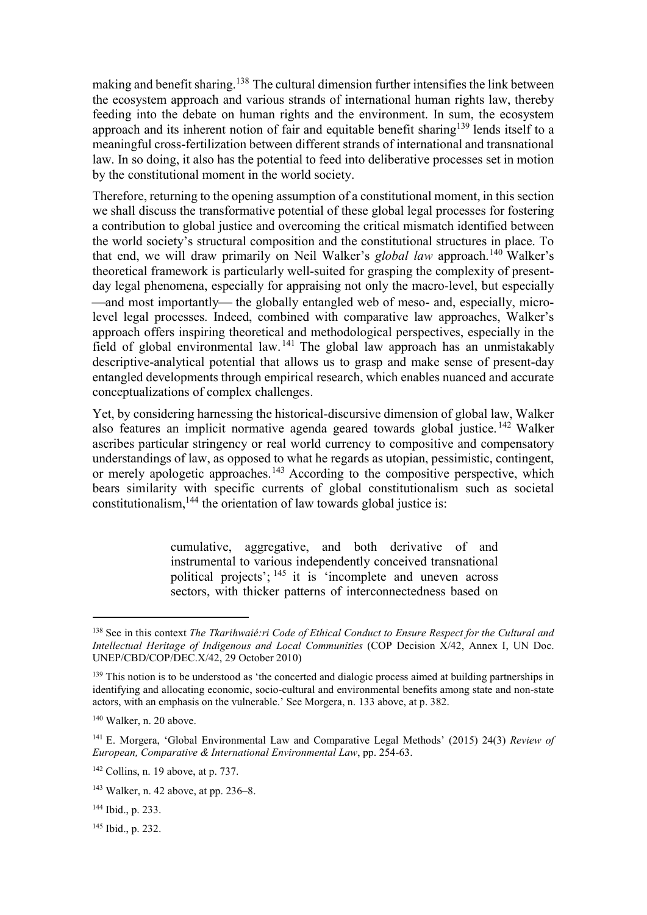making and benefit sharing.<sup>138</sup> The cultural dimension further intensifies the link between the ecosystem approach and various strands of international human rights law, thereby feeding into the debate on human rights and the environment. In sum, the ecosystem approach and its inherent notion of fair and equitable benefit sharing<sup>139</sup> lends itself to a meaningful cross-fertilization between different strands of international and transnational law. In so doing, it also has the potential to feed into deliberative processes set in motion by the constitutional moment in the world society.

Therefore, returning to the opening assumption of a constitutional moment, in this section we shall discuss the transformative potential of these global legal processes for fostering a contribution to global justice and overcoming the critical mismatch identified between the world society's structural composition and the constitutional structures in place. To that end, we will draw primarily on Neil Walker's *global law* approach.<sup>140</sup> Walker's theoretical framework is particularly well-suited for grasping the complexity of presentday legal phenomena, especially for appraising not only the macro-level, but especially —and most importantly— the globally entangled web of meso- and, especially, microlevel legal processes. Indeed, combined with comparative law approaches, Walker's approach offers inspiring theoretical and methodological perspectives, especially in the field of global environmental law. <sup>141</sup> The global law approach has an unmistakably descriptive-analytical potential that allows us to grasp and make sense of present-day entangled developments through empirical research, which enables nuanced and accurate conceptualizations of complex challenges.

Yet, by considering harnessing the historical-discursive dimension of global law, Walker also features an implicit normative agenda geared towards global justice. <sup>142</sup> Walker ascribes particular stringency or real world currency to compositive and compensatory understandings of law, as opposed to what he regards as utopian, pessimistic, contingent, or merely apologetic approaches.<sup>143</sup> According to the compositive perspective, which bears similarity with specific currents of global constitutionalism such as societal constitutionalism,  $144$  the orientation of law towards global justice is:

> cumulative, aggregative, and both derivative of and instrumental to various independently conceived transnational political projects'; <sup>145</sup> it is 'incomplete and uneven across sectors, with thicker patterns of interconnectedness based on

 $138$  See in this context The Tkarihwaié:ri Code of Ethical Conduct to Ensure Respect for the Cultural and Intellectual Heritage of Indigenous and Local Communities (COP Decision X/42, Annex I, UN Doc. UNEP/CBD/COP/DEC.X/42, 29 October 2010)

<sup>&</sup>lt;sup>139</sup> This notion is to be understood as 'the concerted and dialogic process aimed at building partnerships in identifying and allocating economic, socio-cultural and environmental benefits among state and non-state actors, with an emphasis on the vulnerable.' See Morgera, n. 133 above, at p. 382.

<sup>140</sup> Walker, n. 20 above.

<sup>&</sup>lt;sup>141</sup> E. Morgera, 'Global Environmental Law and Comparative Legal Methods' (2015) 24(3) Review of European, Comparative & International Environmental Law, pp. 254-63.

 $142$  Collins, n. 19 above, at p. 737.

<sup>143</sup> Walker, n. 42 above, at pp. 236–8.

<sup>144</sup> Ibid., p. 233.

 $145$  Ibid., p. 232.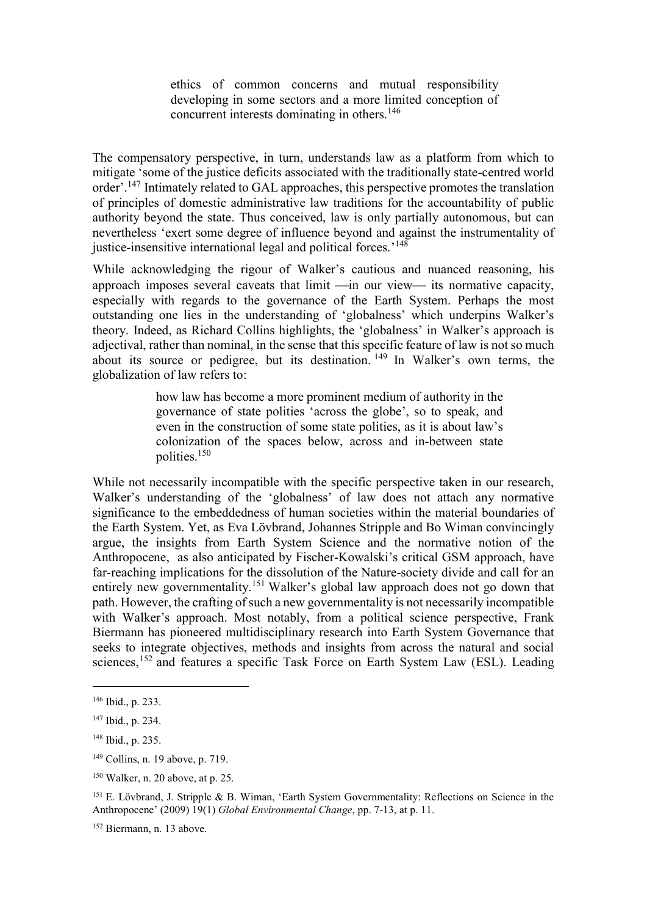ethics of common concerns and mutual responsibility developing in some sectors and a more limited conception of concurrent interests dominating in others.<sup>146</sup>

The compensatory perspective, in turn, understands law as a platform from which to mitigate 'some of the justice deficits associated with the traditionally state-centred world order'.<sup>147</sup> Intimately related to GAL approaches, this perspective promotes the translation of principles of domestic administrative law traditions for the accountability of public authority beyond the state. Thus conceived, law is only partially autonomous, but can nevertheless 'exert some degree of influence beyond and against the instrumentality of justice-insensitive international legal and political forces.<sup>'148</sup>

While acknowledging the rigour of Walker's cautious and nuanced reasoning, his approach imposes several caveats that  $\lim_{t \to \infty}$  our view— its normative capacity, especially with regards to the governance of the Earth System. Perhaps the most outstanding one lies in the understanding of 'globalness' which underpins Walker's theory. Indeed, as Richard Collins highlights, the 'globalness' in Walker's approach is adjectival, rather than nominal, in the sense that this specific feature of law is not so much about its source or pedigree, but its destination. <sup>149</sup> In Walker's own terms, the globalization of law refers to:

> how law has become a more prominent medium of authority in the governance of state polities 'across the globe', so to speak, and even in the construction of some state polities, as it is about law's colonization of the spaces below, across and in-between state polities.<sup>150</sup>

While not necessarily incompatible with the specific perspective taken in our research, Walker's understanding of the 'globalness' of law does not attach any normative significance to the embeddedness of human societies within the material boundaries of the Earth System. Yet, as Eva Lövbrand, Johannes Stripple and Bo Wiman convincingly argue, the insights from Earth System Science and the normative notion of the Anthropocene, as also anticipated by Fischer-Kowalski's critical GSM approach, have far-reaching implications for the dissolution of the Nature-society divide and call for an entirely new governmentality.<sup>151</sup> Walker's global law approach does not go down that path. However, the crafting of such a new governmentality is not necessarily incompatible with Walker's approach. Most notably, from a political science perspective, Frank Biermann has pioneered multidisciplinary research into Earth System Governance that seeks to integrate objectives, methods and insights from across the natural and social sciences,<sup>152</sup> and features a specific Task Force on Earth System Law (ESL). Leading

<sup>146</sup> Ibid., p. 233.

<sup>147</sup> Ibid., p. 234.

<sup>148</sup> Ibid., p. 235.

<sup>149</sup> Collins, n. 19 above, p. 719.

<sup>150</sup> Walker, n. 20 above, at p. 25.

<sup>&</sup>lt;sup>151</sup> E. Lövbrand, J. Stripple & B. Wiman, 'Earth System Governmentality: Reflections on Science in the Anthropocene' (2009) 19(1) Global Environmental Change, pp. 7-13, at p. 11.

<sup>152</sup> Biermann, n. 13 above.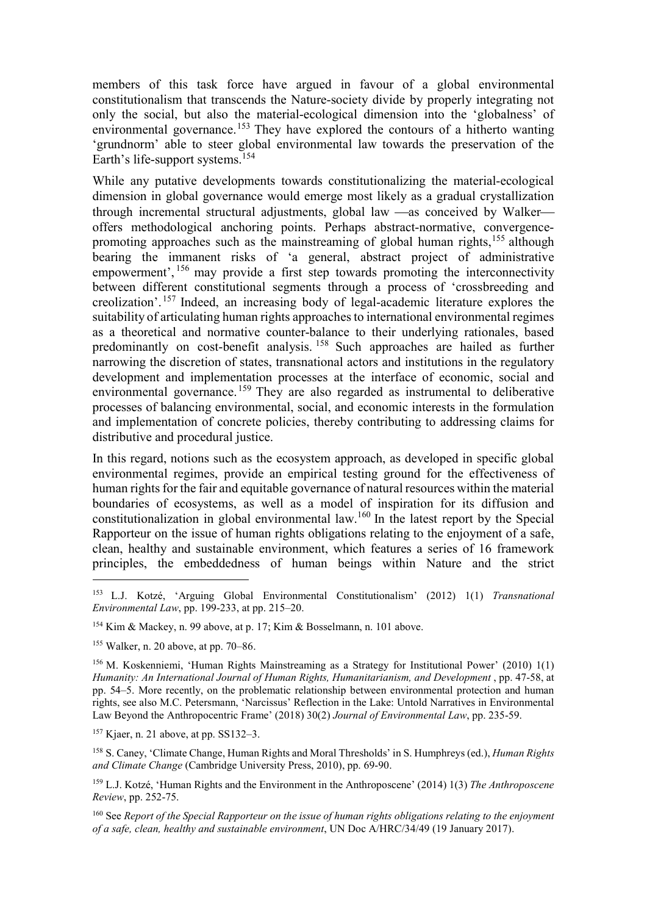members of this task force have argued in favour of a global environmental constitutionalism that transcends the Nature-society divide by properly integrating not only the social, but also the material-ecological dimension into the 'globalness' of environmental governance.<sup>153</sup> They have explored the contours of a hitherto wanting 'grundnorm' able to steer global environmental law towards the preservation of the Earth's life-support systems.<sup>154</sup>

While any putative developments towards constitutionalizing the material-ecological dimension in global governance would emerge most likely as a gradual crystallization through incremental structural adjustments, global law —as conceived by Walker offers methodological anchoring points. Perhaps abstract-normative, convergencepromoting approaches such as the mainstreaming of global human rights,<sup>155</sup> although bearing the immanent risks of 'a general, abstract project of administrative empowerment', <sup>156</sup> may provide a first step towards promoting the interconnectivity between different constitutional segments through a process of 'crossbreeding and creolization'. <sup>157</sup> Indeed, an increasing body of legal-academic literature explores the suitability of articulating human rights approaches to international environmental regimes as a theoretical and normative counter-balance to their underlying rationales, based predominantly on cost-benefit analysis. <sup>158</sup> Such approaches are hailed as further narrowing the discretion of states, transnational actors and institutions in the regulatory development and implementation processes at the interface of economic, social and environmental governance.<sup>159</sup> They are also regarded as instrumental to deliberative processes of balancing environmental, social, and economic interests in the formulation and implementation of concrete policies, thereby contributing to addressing claims for distributive and procedural justice.

In this regard, notions such as the ecosystem approach, as developed in specific global environmental regimes, provide an empirical testing ground for the effectiveness of human rights for the fair and equitable governance of natural resources within the material boundaries of ecosystems, as well as a model of inspiration for its diffusion and constitutionalization in global environmental law.<sup>160</sup> In the latest report by the Special Rapporteur on the issue of human rights obligations relating to the enjoyment of a safe, clean, healthy and sustainable environment, which features a series of 16 framework principles, the embeddedness of human beings within Nature and the strict

<sup>153</sup> L.J. Kotzé, 'Arguing Global Environmental Constitutionalism' (2012) 1(1) Transnational Environmental Law, pp. 199-233, at pp. 215-20.

<sup>154</sup> Kim & Mackey, n. 99 above, at p. 17; Kim & Bosselmann, n. 101 above.

<sup>155</sup> Walker, n. 20 above, at pp. 70–86.

<sup>156</sup> M. Koskenniemi, 'Human Rights Mainstreaming as a Strategy for Institutional Power' (2010) 1(1) Humanity: An International Journal of Human Rights, Humanitarianism, and Development , pp. 47-58, at pp. 54–5. More recently, on the problematic relationship between environmental protection and human rights, see also M.C. Petersmann, 'Narcissus' Reflection in the Lake: Untold Narratives in Environmental Law Beyond the Anthropocentric Frame' (2018) 30(2) Journal of Environmental Law, pp. 235-59.

 $157$  Kiaer, n. 21 above, at pp. SS132–3.

<sup>&</sup>lt;sup>158</sup> S. Caney, 'Climate Change, Human Rights and Moral Thresholds' in S. Humphreys (ed.), *Human Rights* and Climate Change (Cambridge University Press, 2010), pp. 69-90.

 $159$  L.J. Kotzé, 'Human Rights and the Environment in the Anthroposcene' (2014) 1(3) The Anthroposcene Review, pp. 252-75.

 $160$  See Report of the Special Rapporteur on the issue of human rights obligations relating to the enjoyment of a safe, clean, healthy and sustainable environment, UN Doc A/HRC/34/49 (19 January 2017).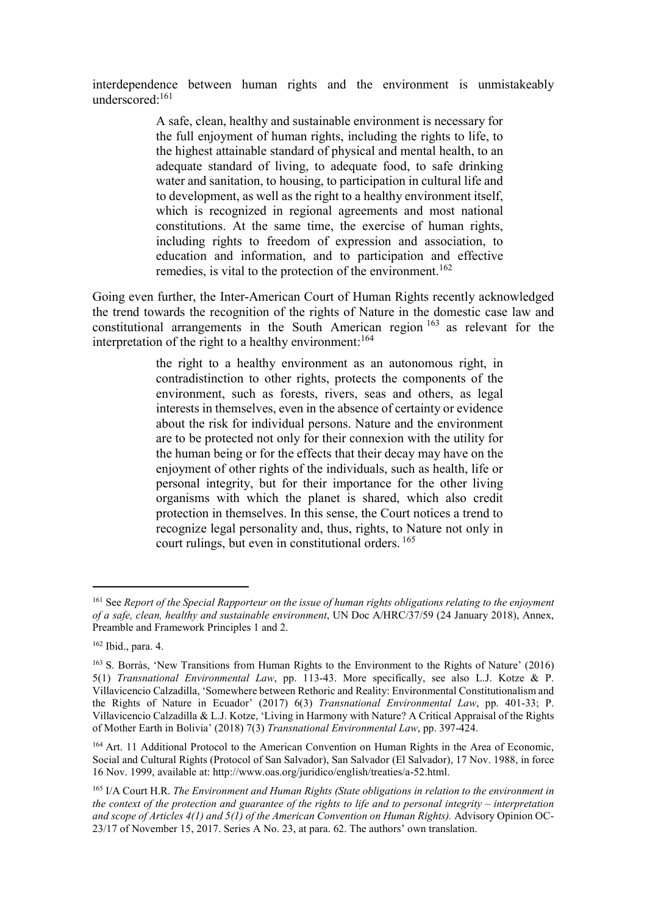interdependence between human rights and the environment is unmistakeably underscored:<sup>161</sup>

> A safe, clean, healthy and sustainable environment is necessary for the full enjoyment of human rights, including the rights to life, to the highest attainable standard of physical and mental health, to an adequate standard of living, to adequate food, to safe drinking water and sanitation, to housing, to participation in cultural life and to development, as well as the right to a healthy environment itself, which is recognized in regional agreements and most national constitutions. At the same time, the exercise of human rights, including rights to freedom of expression and association, to education and information, and to participation and effective remedies, is vital to the protection of the environment.<sup>162</sup>

Going even further, the Inter-American Court of Human Rights recently acknowledged the trend towards the recognition of the rights of Nature in the domestic case law and constitutional arrangements in the South American region <sup>163</sup> as relevant for the interpretation of the right to a healthy environment:  $164$ 

> the right to a healthy environment as an autonomous right, in contradistinction to other rights, protects the components of the environment, such as forests, rivers, seas and others, as legal interests in themselves, even in the absence of certainty or evidence about the risk for individual persons. Nature and the environment are to be protected not only for their connexion with the utility for the human being or for the effects that their decay may have on the enjoyment of other rights of the individuals, such as health, life or personal integrity, but for their importance for the other living organisms with which the planet is shared, which also credit protection in themselves. In this sense, the Court notices a trend to recognize legal personality and, thus, rights, to Nature not only in court rulings, but even in constitutional orders.  $165$

<sup>&</sup>lt;sup>161</sup> See Report of the Special Rapporteur on the issue of human rights obligations relating to the enjoyment of a safe, clean, healthy and sustainable environment, UN Doc A/HRC/37/59 (24 January 2018), Annex, Preamble and Framework Principles 1 and 2.

<sup>162</sup> Ibid., para. 4.

<sup>163</sup> S. Borràs, 'New Transitions from Human Rights to the Environment to the Rights of Nature' (2016) 5(1) Transnational Environmental Law, pp. 113-43. More specifically, see also L.J. Kotze & P. Villavicencio Calzadilla, 'Somewhere between Rethoric and Reality: Environmental Constitutionalism and the Rights of Nature in Ecuador' (2017) 6(3) Transnational Environmental Law, pp. 401-33; P. Villavicencio Calzadilla & L.J. Kotze, 'Living in Harmony with Nature? A Critical Appraisal of the Rights of Mother Earth in Bolivia' (2018) 7(3) Transnational Environmental Law, pp. 397-424.

<sup>&</sup>lt;sup>164</sup> Art. 11 Additional Protocol to the American Convention on Human Rights in the Area of Economic, Social and Cultural Rights (Protocol of San Salvador), San Salvador (El Salvador), 17 Nov. 1988, in force 16 Nov. 1999, available at: http://www.oas.org/juridico/english/treaties/a-52.html.

<sup>&</sup>lt;sup>165</sup> I/A Court H.R. The Environment and Human Rights (State obligations in relation to the environment in the context of the protection and guarantee of the rights to life and to personal integrity – interpretation and scope of Articles 4(1) and 5(1) of the American Convention on Human Rights). Advisory Opinion OC-23/17 of November 15, 2017. Series A No. 23, at para. 62. The authors' own translation.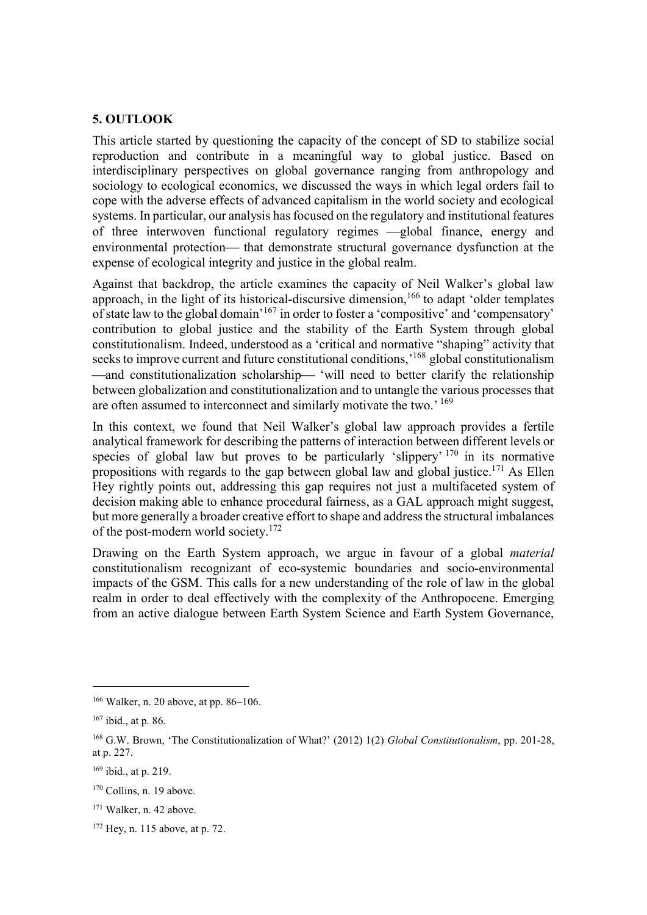## 5. OUTLOOK

This article started by questioning the capacity of the concept of SD to stabilize social reproduction and contribute in a meaningful way to global justice. Based on interdisciplinary perspectives on global governance ranging from anthropology and sociology to ecological economics, we discussed the ways in which legal orders fail to cope with the adverse effects of advanced capitalism in the world society and ecological systems. In particular, our analysis has focused on the regulatory and institutional features of three interwoven functional regulatory regimes - global finance, energy and environmental protection— that demonstrate structural governance dysfunction at the expense of ecological integrity and justice in the global realm.

Against that backdrop, the article examines the capacity of Neil Walker's global law approach, in the light of its historical-discursive dimension,<sup>166</sup> to adapt 'older templates of state law to the global domain'<sup>167</sup> in order to foster a 'compositive' and 'compensatory' contribution to global justice and the stability of the Earth System through global constitutionalism. Indeed, understood as a 'critical and normative "shaping" activity that seeks to improve current and future constitutional conditions,<sup>168</sup> global constitutionalism —and constitutionalization scholarship— 'will need to better clarify the relationship between globalization and constitutionalization and to untangle the various processes that are often assumed to interconnect and similarly motivate the two.' 169

In this context, we found that Neil Walker's global law approach provides a fertile analytical framework for describing the patterns of interaction between different levels or species of global law but proves to be particularly 'slippery' <sup>170</sup> in its normative propositions with regards to the gap between global law and global justice.<sup>171</sup> As Ellen Hey rightly points out, addressing this gap requires not just a multifaceted system of decision making able to enhance procedural fairness, as a GAL approach might suggest, but more generally a broader creative effort to shape and address the structural imbalances of the post-modern world society.<sup>172</sup>

Drawing on the Earth System approach, we argue in favour of a global *material* constitutionalism recognizant of eco-systemic boundaries and socio-environmental impacts of the GSM. This calls for a new understanding of the role of law in the global realm in order to deal effectively with the complexity of the Anthropocene. Emerging from an active dialogue between Earth System Science and Earth System Governance,

<sup>166</sup> Walker, n. 20 above, at pp. 86–106.

<sup>167</sup> ibid., at p. 86.

<sup>&</sup>lt;sup>168</sup> G.W. Brown, 'The Constitutionalization of What?' (2012) 1(2) Global Constitutionalism, pp. 201-28, at p. 227.

<sup>169</sup> ibid., at p. 219.

 $170$  Collins, n. 19 above.

<sup>171</sup> Walker, n. 42 above.

<sup>172</sup> Hey, n. 115 above, at p. 72.